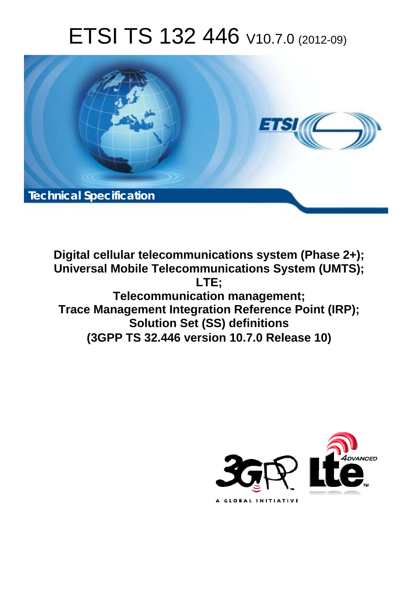# ETSI TS 132 446 V10.7.0 (2012-09)



**Digital cellular telecommunications system (Phase 2+); Universal Mobile Telecommunications System (UMTS); LTE; Telecommunication management; Trace Management Integration Reference Point (IRP); Solution Set (SS) definitions (3GPP TS 32.446 version 10.7.0 Release 10)** 

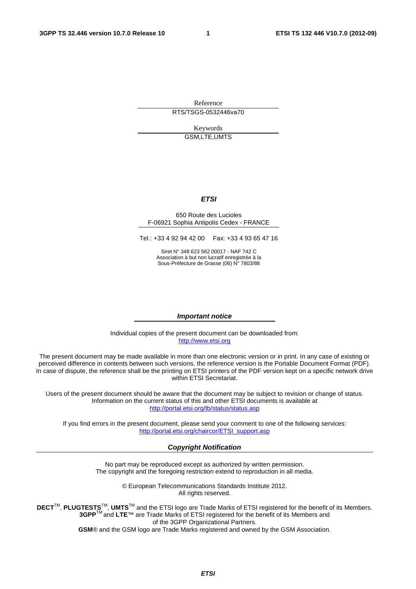Reference RTS/TSGS-0532446va70

> Keywords GSM,LTE,UMTS

#### *ETSI*

#### 650 Route des Lucioles F-06921 Sophia Antipolis Cedex - FRANCE

Tel.: +33 4 92 94 42 00 Fax: +33 4 93 65 47 16

Siret N° 348 623 562 00017 - NAF 742 C Association à but non lucratif enregistrée à la Sous-Préfecture de Grasse (06) N° 7803/88

#### *Important notice*

Individual copies of the present document can be downloaded from: [http://www.etsi.org](http://www.etsi.org/)

The present document may be made available in more than one electronic version or in print. In any case of existing or perceived difference in contents between such versions, the reference version is the Portable Document Format (PDF). In case of dispute, the reference shall be the printing on ETSI printers of the PDF version kept on a specific network drive within ETSI Secretariat.

Users of the present document should be aware that the document may be subject to revision or change of status. Information on the current status of this and other ETSI documents is available at <http://portal.etsi.org/tb/status/status.asp>

If you find errors in the present document, please send your comment to one of the following services: [http://portal.etsi.org/chaircor/ETSI\\_support.asp](http://portal.etsi.org/chaircor/ETSI_support.asp)

#### *Copyright Notification*

No part may be reproduced except as authorized by written permission. The copyright and the foregoing restriction extend to reproduction in all media.

> © European Telecommunications Standards Institute 2012. All rights reserved.

**DECT**TM, **PLUGTESTS**TM, **UMTS**TM and the ETSI logo are Trade Marks of ETSI registered for the benefit of its Members. **3GPP**TM and **LTE**™ are Trade Marks of ETSI registered for the benefit of its Members and of the 3GPP Organizational Partners.

**GSM**® and the GSM logo are Trade Marks registered and owned by the GSM Association.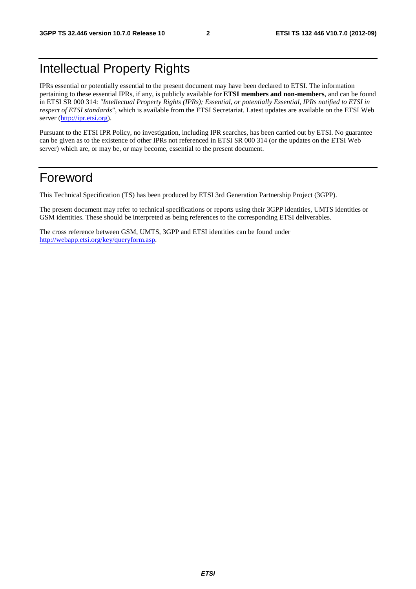# Intellectual Property Rights

IPRs essential or potentially essential to the present document may have been declared to ETSI. The information pertaining to these essential IPRs, if any, is publicly available for **ETSI members and non-members**, and can be found in ETSI SR 000 314: *"Intellectual Property Rights (IPRs); Essential, or potentially Essential, IPRs notified to ETSI in respect of ETSI standards"*, which is available from the ETSI Secretariat. Latest updates are available on the ETSI Web server [\(http://ipr.etsi.org](http://webapp.etsi.org/IPR/home.asp)).

Pursuant to the ETSI IPR Policy, no investigation, including IPR searches, has been carried out by ETSI. No guarantee can be given as to the existence of other IPRs not referenced in ETSI SR 000 314 (or the updates on the ETSI Web server) which are, or may be, or may become, essential to the present document.

# Foreword

This Technical Specification (TS) has been produced by ETSI 3rd Generation Partnership Project (3GPP).

The present document may refer to technical specifications or reports using their 3GPP identities, UMTS identities or GSM identities. These should be interpreted as being references to the corresponding ETSI deliverables.

The cross reference between GSM, UMTS, 3GPP and ETSI identities can be found under [http://webapp.etsi.org/key/queryform.asp.](http://webapp.etsi.org/key/queryform.asp)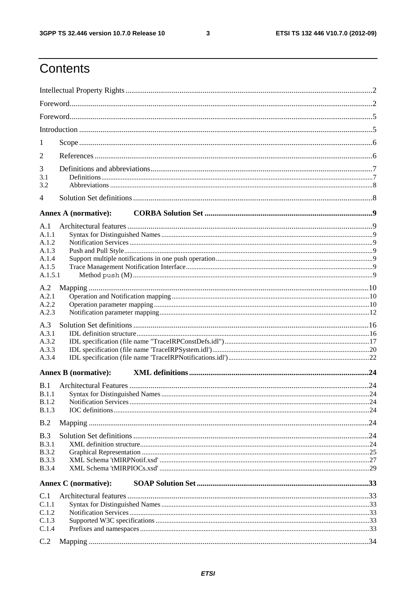$\mathbf{3}$ 

# Contents

| 1<br>2<br>3<br>3.1<br>3.2<br>4<br><b>Annex A (normative):</b><br>A.1<br>A.1.1<br>A.1.2<br>A.1.3<br>A.1.4<br>A.1.5<br>A.1.5.1<br>A.2<br>A.2.1<br>A.2.2<br>A.2.3<br>A.3<br>A.3.1<br>A.3.2<br>A.3.3<br>A.3.4<br><b>Annex B</b> (normative):<br>B.1<br><b>B.1.1</b><br><b>B.1.2</b><br>B.1.3<br>B.2<br>B.3<br>B.3.1<br><b>B.3.2</b><br><b>B.3.3</b><br><b>B.3.4</b><br><b>Annex C</b> (normative):<br>C.1<br>C.1.1<br>C.1.2<br>C.1.3<br>C.1.4<br>C.2 |  |  |
|--------------------------------------------------------------------------------------------------------------------------------------------------------------------------------------------------------------------------------------------------------------------------------------------------------------------------------------------------------------------------------------------------------------------------------------------------|--|--|
|                                                                                                                                                                                                                                                                                                                                                                                                                                                  |  |  |
|                                                                                                                                                                                                                                                                                                                                                                                                                                                  |  |  |
|                                                                                                                                                                                                                                                                                                                                                                                                                                                  |  |  |
|                                                                                                                                                                                                                                                                                                                                                                                                                                                  |  |  |
|                                                                                                                                                                                                                                                                                                                                                                                                                                                  |  |  |
|                                                                                                                                                                                                                                                                                                                                                                                                                                                  |  |  |
|                                                                                                                                                                                                                                                                                                                                                                                                                                                  |  |  |
|                                                                                                                                                                                                                                                                                                                                                                                                                                                  |  |  |
|                                                                                                                                                                                                                                                                                                                                                                                                                                                  |  |  |
|                                                                                                                                                                                                                                                                                                                                                                                                                                                  |  |  |
|                                                                                                                                                                                                                                                                                                                                                                                                                                                  |  |  |
|                                                                                                                                                                                                                                                                                                                                                                                                                                                  |  |  |
|                                                                                                                                                                                                                                                                                                                                                                                                                                                  |  |  |
|                                                                                                                                                                                                                                                                                                                                                                                                                                                  |  |  |
|                                                                                                                                                                                                                                                                                                                                                                                                                                                  |  |  |
|                                                                                                                                                                                                                                                                                                                                                                                                                                                  |  |  |
|                                                                                                                                                                                                                                                                                                                                                                                                                                                  |  |  |
|                                                                                                                                                                                                                                                                                                                                                                                                                                                  |  |  |
|                                                                                                                                                                                                                                                                                                                                                                                                                                                  |  |  |
|                                                                                                                                                                                                                                                                                                                                                                                                                                                  |  |  |
|                                                                                                                                                                                                                                                                                                                                                                                                                                                  |  |  |
|                                                                                                                                                                                                                                                                                                                                                                                                                                                  |  |  |
|                                                                                                                                                                                                                                                                                                                                                                                                                                                  |  |  |
|                                                                                                                                                                                                                                                                                                                                                                                                                                                  |  |  |
|                                                                                                                                                                                                                                                                                                                                                                                                                                                  |  |  |
|                                                                                                                                                                                                                                                                                                                                                                                                                                                  |  |  |
|                                                                                                                                                                                                                                                                                                                                                                                                                                                  |  |  |
|                                                                                                                                                                                                                                                                                                                                                                                                                                                  |  |  |
|                                                                                                                                                                                                                                                                                                                                                                                                                                                  |  |  |
|                                                                                                                                                                                                                                                                                                                                                                                                                                                  |  |  |
|                                                                                                                                                                                                                                                                                                                                                                                                                                                  |  |  |
|                                                                                                                                                                                                                                                                                                                                                                                                                                                  |  |  |
|                                                                                                                                                                                                                                                                                                                                                                                                                                                  |  |  |
|                                                                                                                                                                                                                                                                                                                                                                                                                                                  |  |  |
|                                                                                                                                                                                                                                                                                                                                                                                                                                                  |  |  |
|                                                                                                                                                                                                                                                                                                                                                                                                                                                  |  |  |
|                                                                                                                                                                                                                                                                                                                                                                                                                                                  |  |  |
|                                                                                                                                                                                                                                                                                                                                                                                                                                                  |  |  |
|                                                                                                                                                                                                                                                                                                                                                                                                                                                  |  |  |
|                                                                                                                                                                                                                                                                                                                                                                                                                                                  |  |  |
|                                                                                                                                                                                                                                                                                                                                                                                                                                                  |  |  |
|                                                                                                                                                                                                                                                                                                                                                                                                                                                  |  |  |
|                                                                                                                                                                                                                                                                                                                                                                                                                                                  |  |  |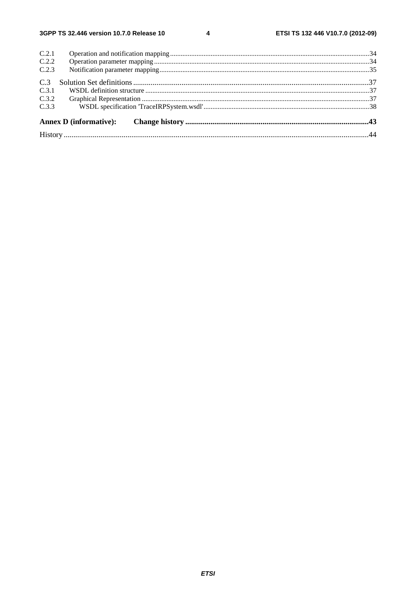$\overline{\mathbf{4}}$ 

| C.2.1 |  |  |
|-------|--|--|
| C.2.2 |  |  |
| C.2.3 |  |  |
| C.3   |  |  |
| C.3.1 |  |  |
| C.3.2 |  |  |
| C.3.3 |  |  |
|       |  |  |
|       |  |  |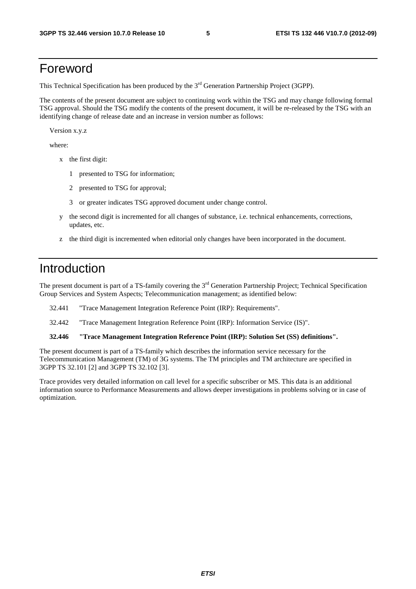# Foreword

This Technical Specification has been produced by the 3<sup>rd</sup> Generation Partnership Project (3GPP).

The contents of the present document are subject to continuing work within the TSG and may change following formal TSG approval. Should the TSG modify the contents of the present document, it will be re-released by the TSG with an identifying change of release date and an increase in version number as follows:

Version x.y.z

where:

- x the first digit:
	- 1 presented to TSG for information;
	- 2 presented to TSG for approval;
	- 3 or greater indicates TSG approved document under change control.
- y the second digit is incremented for all changes of substance, i.e. technical enhancements, corrections, updates, etc.
- z the third digit is incremented when editorial only changes have been incorporated in the document.

# Introduction

The present document is part of a TS-family covering the 3<sup>rd</sup> Generation Partnership Project; Technical Specification Group Services and System Aspects; Telecommunication management; as identified below:

- 32.441 "Trace Management Integration Reference Point (IRP): Requirements".
- 32.442 "Trace Management Integration Reference Point (IRP): Information Service (IS)".

#### **32.446 "Trace Management Integration Reference Point (IRP): Solution Set (SS) definitions".**

The present document is part of a TS-family which describes the information service necessary for the Telecommunication Management (TM) of 3G systems. The TM principles and TM architecture are specified in 3GPP TS 32.101 [2] and 3GPP TS 32.102 [3].

Trace provides very detailed information on call level for a specific subscriber or MS. This data is an additional information source to Performance Measurements and allows deeper investigations in problems solving or in case of optimization.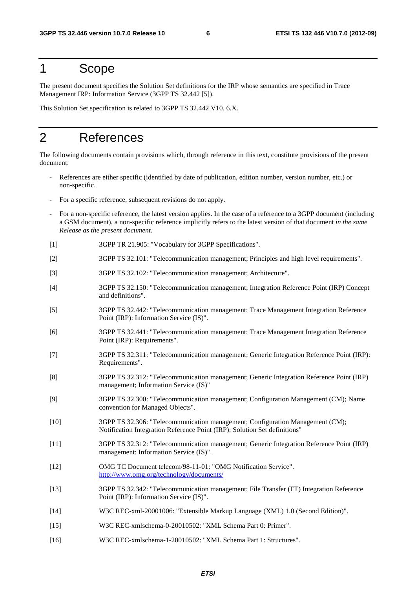# 1 Scope

The present document specifies the Solution Set definitions for the IRP whose semantics are specified in Trace Management IRP: Information Service (3GPP TS 32.442 [5]).

This Solution Set specification is related to 3GPP TS 32.442 V10. 6.X.

# 2 References

The following documents contain provisions which, through reference in this text, constitute provisions of the present document.

- References are either specific (identified by date of publication, edition number, version number, etc.) or non-specific.
- For a specific reference, subsequent revisions do not apply.
- For a non-specific reference, the latest version applies. In the case of a reference to a 3GPP document (including a GSM document), a non-specific reference implicitly refers to the latest version of that document *in the same Release as the present document*.
- [1] 3GPP TR 21.905: "Vocabulary for 3GPP Specifications".
- [2] 3GPP TS 32.101: "Telecommunication management; Principles and high level requirements".
- [3] 3GPP TS 32.102: "Telecommunication management; Architecture".
- [4] 3GPP TS 32.150: "Telecommunication management; Integration Reference Point (IRP) Concept and definitions".
- [5] 3GPP TS 32.442: "Telecommunication management; Trace Management Integration Reference Point (IRP): Information Service (IS)".
- [6] 3GPP TS 32.441: "Telecommunication management; Trace Management Integration Reference Point (IRP): Requirements".
- [7] 3GPP TS 32.311: "Telecommunication management; Generic Integration Reference Point (IRP): Requirements".
- [8] 3GPP TS 32.312: "Telecommunication management; Generic Integration Reference Point (IRP) management; Information Service (IS)"
- [9] 3GPP TS 32.300: "Telecommunication management; Configuration Management (CM); Name convention for Managed Objects".
- [10] 3GPP TS 32.306: "Telecommunication management; Configuration Management (CM); Notification Integration Reference Point (IRP): Solution Set definitions"
- [11] 3GPP TS 32.312: "Telecommunication management; Generic Integration Reference Point (IRP) management: Information Service (IS)".
- [12] OMG TC Document telecom/98-11-01: "OMG Notification Service". <http://www.omg.org/technology/documents/>
- [13] 3GPP TS 32.342: "Telecommunication management; File Transfer (FT) Integration Reference Point (IRP): Information Service (IS)".
- [14] W3C REC-xml-20001006: "Extensible Markup Language (XML) 1.0 (Second Edition)".
- [15] W3C REC-xmlschema-0-20010502: "XML Schema Part 0: Primer".
- [16] W3C REC-xmlschema-1-20010502: "XML Schema Part 1: Structures".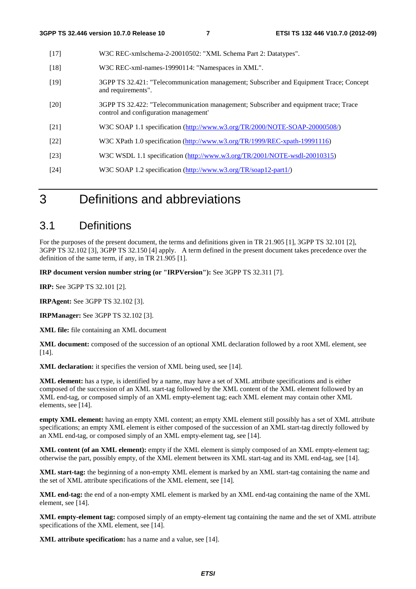| $[17]$ | W3C REC-xmlschema-2-20010502: "XML Schema Part 2: Datatypes".                                                                 |
|--------|-------------------------------------------------------------------------------------------------------------------------------|
| $[18]$ | W3C REC-xml-names-19990114: "Namespaces in XML".                                                                              |
| $[19]$ | 3GPP TS 32.421: "Telecommunication management; Subscriber and Equipment Trace; Concept<br>and requirements".                  |
| [20]   | 3GPP TS 32.422: "Telecommunication management; Subscriber and equipment trace; Trace<br>control and configuration management' |
| [21]   | W3C SOAP 1.1 specification (http://www.w3.org/TR/2000/NOTE-SOAP-20000508/)                                                    |
| [22]   | W3C XPath 1.0 specification (http://www.w3.org/TR/1999/REC-xpath-19991116)                                                    |
| $[23]$ | W3C WSDL 1.1 specification (http://www.w3.org/TR/2001/NOTE-wsdl-20010315)                                                     |
| $[24]$ | W3C SOAP 1.2 specification (http://www.w3.org/TR/soap12-part1/)                                                               |
|        |                                                                                                                               |

# 3 Definitions and abbreviations

#### 3.1 Definitions

For the purposes of the present document, the terms and definitions given in TR 21.905 [1], 3GPP TS 32.101 [2], 3GPP TS 32.102 [3], 3GPP TS 32.150 [4] apply. A term defined in the present document takes precedence over the definition of the same term, if any, in TR 21.905 [1].

**IRP document version number string (or "IRPVersion"):** See 3GPP TS 32.311 [7].

**IRP:** See 3GPP TS 32.101 [2].

**IRPAgent:** See 3GPP TS 32.102 [3].

**IRPManager:** See 3GPP TS 32.102 [3].

**XML file:** file containing an XML document

**XML document:** composed of the succession of an optional XML declaration followed by a root XML element, see [14].

**XML declaration:** it specifies the version of XML being used, see [14].

**XML element:** has a type, is identified by a name, may have a set of XML attribute specifications and is either composed of the succession of an XML start-tag followed by the XML content of the XML element followed by an XML end-tag, or composed simply of an XML empty-element tag; each XML element may contain other XML elements, see [14].

**empty XML element:** having an empty XML content; an empty XML element still possibly has a set of XML attribute specifications; an empty XML element is either composed of the succession of an XML start-tag directly followed by an XML end-tag, or composed simply of an XML empty-element tag, see [14].

**XML content (of an XML element):** empty if the XML element is simply composed of an XML empty-element tag; otherwise the part, possibly empty, of the XML element between its XML start-tag and its XML end-tag, see [14].

**XML start-tag:** the beginning of a non-empty XML element is marked by an XML start-tag containing the name and the set of XML attribute specifications of the XML element, see [14].

**XML end-tag:** the end of a non-empty XML element is marked by an XML end-tag containing the name of the XML element, see [14].

**XML empty-element tag:** composed simply of an empty-element tag containing the name and the set of XML attribute specifications of the XML element, see [14].

**XML attribute specification:** has a name and a value, see [14].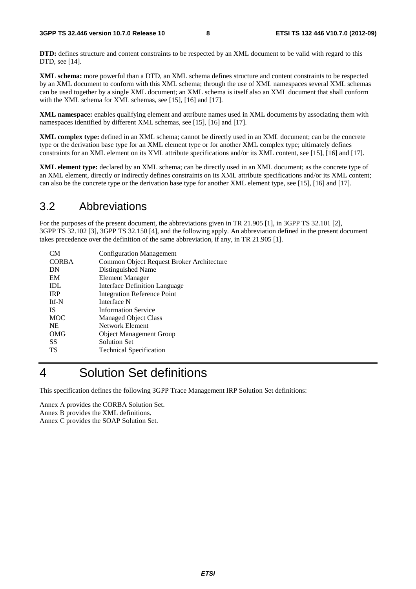**DTD:** defines structure and content constraints to be respected by an XML document to be valid with regard to this DTD, see [14].

**XML schema:** more powerful than a DTD, an XML schema defines structure and content constraints to be respected by an XML document to conform with this XML schema; through the use of XML namespaces several XML schemas can be used together by a single XML document; an XML schema is itself also an XML document that shall conform with the XML schema for XML schemas, see [15], [16] and [17].

**XML namespace:** enables qualifying element and attribute names used in XML documents by associating them with namespaces identified by different XML schemas, see [15], [16] and [17].

**XML complex type:** defined in an XML schema; cannot be directly used in an XML document; can be the concrete type or the derivation base type for an XML element type or for another XML complex type; ultimately defines constraints for an XML element on its XML attribute specifications and/or its XML content, see [15], [16] and [17].

**XML element type:** declared by an XML schema; can be directly used in an XML document; as the concrete type of an XML element, directly or indirectly defines constraints on its XML attribute specifications and/or its XML content; can also be the concrete type or the derivation base type for another XML element type, see [15], [16] and [17].

#### 3.2 Abbreviations

For the purposes of the present document, the abbreviations given in TR 21.905 [1], in 3GPP TS 32.101 [2], 3GPP TS 32.102 [3], 3GPP TS 32.150 [4], and the following apply. An abbreviation defined in the present document takes precedence over the definition of the same abbreviation, if any, in TR 21.905 [1].

| CМ           | <b>Configuration Management</b>           |
|--------------|-------------------------------------------|
| <b>CORBA</b> | Common Object Request Broker Architecture |
| DN           | Distinguished Name                        |
| EM           | <b>Element Manager</b>                    |
| IDL          | Interface Definition Language             |
| <b>IRP</b>   | <b>Integration Reference Point</b>        |
| Itf-N        | Interface N                               |
| <b>IS</b>    | <b>Information Service</b>                |
| <b>MOC</b>   | <b>Managed Object Class</b>               |
| <b>NE</b>    | Network Element                           |
| OMG          | <b>Object Management Group</b>            |
| SS           | <b>Solution Set</b>                       |
| TS           | <b>Technical Specification</b>            |
|              |                                           |

# 4 Solution Set definitions

This specification defines the following 3GPP Trace Management IRP Solution Set definitions:

Annex A provides the CORBA Solution Set. Annex B provides the XML definitions. Annex C provides the SOAP Solution Set.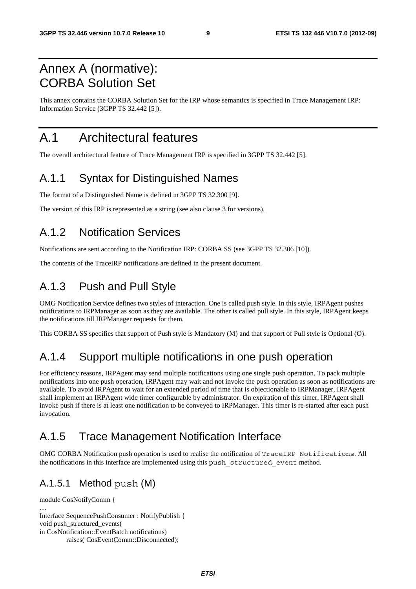# Annex A (normative): CORBA Solution Set

This annex contains the CORBA Solution Set for the IRP whose semantics is specified in Trace Management IRP: Information Service (3GPP TS 32.442 [5]).

# A.1 Architectural features

The overall architectural feature of Trace Management IRP is specified in 3GPP TS 32.442 [5].

## A.1.1 Syntax for Distinguished Names

The format of a Distinguished Name is defined in 3GPP TS 32.300 [9].

The version of this IRP is represented as a string (see also clause 3 for versions).

## A.1.2 Notification Services

Notifications are sent according to the Notification IRP: CORBA SS (see 3GPP TS 32.306 [10]).

The contents of the TraceIRP notifications are defined in the present document.

## A.1.3 Push and Pull Style

OMG Notification Service defines two styles of interaction. One is called push style. In this style, IRPAgent pushes notifications to IRPManager as soon as they are available. The other is called pull style. In this style, IRPAgent keeps the notifications till IRPManager requests for them.

This CORBA SS specifies that support of Push style is Mandatory (M) and that support of Pull style is Optional (O).

## A.1.4 Support multiple notifications in one push operation

For efficiency reasons, IRPAgent may send multiple notifications using one single push operation. To pack multiple notifications into one push operation, IRPAgent may wait and not invoke the push operation as soon as notifications are available. To avoid IRPAgent to wait for an extended period of time that is objectionable to IRPManager, IRPAgent shall implement an IRPAgent wide timer configurable by administrator. On expiration of this timer, IRPAgent shall invoke push if there is at least one notification to be conveyed to IRPManager. This timer is re-started after each push invocation.

# A.1.5 Trace Management Notification Interface

OMG CORBA Notification push operation is used to realise the notification of TraceIRP Notifications. All the notifications in this interface are implemented using this push\_structured\_event method.

#### A.1.5.1 Method push (M)

```
module CosNotifyComm { 
… 
Interface SequencePushConsumer : NotifyPublish { 
void push_structured_events( 
in CosNotification::EventBatch notifications) 
          raises( CosEventComm::Disconnected);
```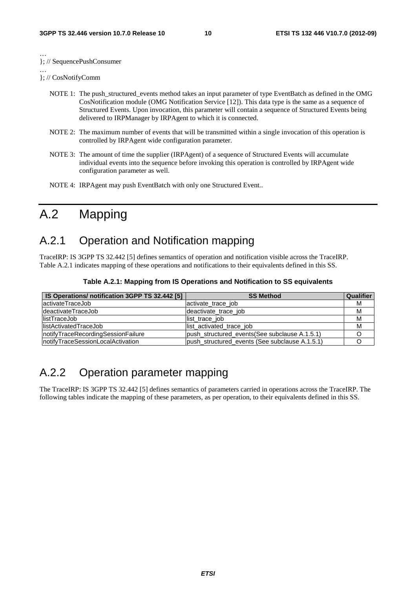… }; // SequencePushConsumer

… }; // CosNotifyComm

- NOTE 1: The push structured events method takes an input parameter of type EventBatch as defined in the OMG CosNotification module (OMG Notification Service [12]). This data type is the same as a sequence of Structured Events. Upon invocation, this parameter will contain a sequence of Structured Events being delivered to IRPManager by IRPAgent to which it is connected.
- NOTE 2: The maximum number of events that will be transmitted within a single invocation of this operation is controlled by IRPAgent wide configuration parameter.
- NOTE 3: The amount of time the supplier (IRPAgent) of a sequence of Structured Events will accumulate individual events into the sequence before invoking this operation is controlled by IRPAgent wide configuration parameter as well.
- NOTE 4: IRPAgent may push EventBatch with only one Structured Event..

# A.2 Mapping

## A.2.1 Operation and Notification mapping

TraceIRP: IS 3GPP TS 32.442 [5] defines semantics of operation and notification visible across the TraceIRP. Table A.2.1 indicates mapping of these operations and notifications to their equivalents defined in this SS.

| IS Operations/ notification 3GPP TS 32.442 [5] | <b>SS Method</b>                               | <b>Qualifier</b> |
|------------------------------------------------|------------------------------------------------|------------------|
| lactivateTraceJob                              | activate trace job                             | м                |
| IdeactivateTraceJob                            | deactivate trace job                           | М                |
| listTraceJob                                   | list trace job                                 | M                |
| <b>IlistActivatedTraceJob</b>                  | list activated trace job                       | M                |
| InotifyTraceRecordingSessionFailure            | push structured events (See subclause A.1.5.1) |                  |
| InotifyTraceSessionLocalActivation             | push structured events (See subclause A.1.5.1) |                  |

**Table A.2.1: Mapping from IS Operations and Notification to SS equivalents** 

# A.2.2 Operation parameter mapping

The TraceIRP: IS 3GPP TS 32.442 [5] defines semantics of parameters carried in operations across the TraceIRP. The following tables indicate the mapping of these parameters, as per operation, to their equivalents defined in this SS.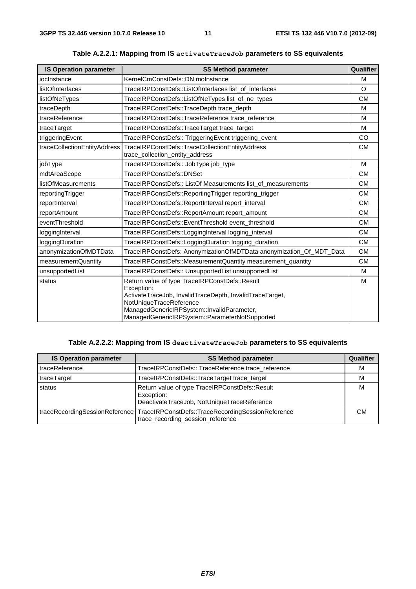| <b>IS Operation parameter</b> | <b>SS Method parameter</b>                                                                                                                                                                                                                          | Qualifier |
|-------------------------------|-----------------------------------------------------------------------------------------------------------------------------------------------------------------------------------------------------------------------------------------------------|-----------|
| ioclnstance                   | KernelCmConstDefs::DN moInstance                                                                                                                                                                                                                    | M         |
| listOfInterfaces              | TraceIRPConstDefs::ListOfInterfaces list_of_interfaces                                                                                                                                                                                              | O         |
| listOfNeTypes                 | TraceIRPConstDefs::ListOfNeTypes list_of_ne_types                                                                                                                                                                                                   | СM        |
| traceDepth                    | TraceIRPConstDefs::TraceDepth trace_depth                                                                                                                                                                                                           | M         |
| traceReference                | TraceIRPConstDefs::TraceReference trace_reference                                                                                                                                                                                                   | M         |
| traceTarget                   | TraceIRPConstDefs::TraceTarget trace_target                                                                                                                                                                                                         | M         |
| triggeringEvent               | TraceIRPConstDefs:: TriggeringEvent triggering_event                                                                                                                                                                                                | CO        |
| traceCollectionEntityAddress  | TraceIRPConstDefs::TraceCollectionEntityAddress<br>trace_collection_entity_address                                                                                                                                                                  | <b>CM</b> |
| jobType                       | TraceIRPConstDefs:: JobType job_type                                                                                                                                                                                                                | M         |
| mdtAreaScope                  | TraceIRPConstDefs::DNSet                                                                                                                                                                                                                            | <b>CM</b> |
| <b>listOfMeasurements</b>     | TraceIRPConstDefs:: ListOf Measurements list_of_measurements                                                                                                                                                                                        | <b>CM</b> |
| reportingTrigger              | TraceIRPConstDefs::ReportingTrigger reporting_trigger                                                                                                                                                                                               | <b>CM</b> |
| reportInterval                | TraceIRPConstDefs::ReportInterval report_interval                                                                                                                                                                                                   | <b>CM</b> |
| reportAmount                  | TraceIRPConstDefs::ReportAmount report_amount                                                                                                                                                                                                       | <b>CM</b> |
| eventThreshold                | TraceIRPConstDefs::EventThreshold event_threshold                                                                                                                                                                                                   | <b>CM</b> |
| loggingInterval               | TraceIRPConstDefs::LoggingInterval logging_interval                                                                                                                                                                                                 | <b>CM</b> |
| loggingDuration               | TraceIRPConstDefs::LoggingDuration logging_duration                                                                                                                                                                                                 | <b>CM</b> |
| anonymizationOfMDTData        | TraceIRPConstDefs: AnonymizationOfMDTData anonymization_Of_MDT_Data                                                                                                                                                                                 | <b>CM</b> |
| measurementQuantity           | TraceIRPConstDefs::MeasurementQuantity measurement_quantity                                                                                                                                                                                         | <b>CM</b> |
| unsupportedList               | TraceIRPConstDefs:: UnsupportedList unsupportedList                                                                                                                                                                                                 | M         |
| status                        | Return value of type TraceIRPConstDefs::Result<br>Exception:<br>ActivateTraceJob, InvalidTraceDepth, InvalidTraceTarget,<br>NotUniqueTraceReference<br>ManagedGenericIRPSystem::InvalidParameter,<br>ManagedGenericIRPSystem::ParameterNotSupported | M         |

**Table A.2.2.1: Mapping from IS activateTraceJob parameters to SS equivalents** 

#### **Table A.2.2.2: Mapping from IS deactivateTraceJob parameters to SS equivalents**

| <b>IS Operation parameter</b> | <b>SS Method parameter</b>                                                                                            |    |  |
|-------------------------------|-----------------------------------------------------------------------------------------------------------------------|----|--|
| traceReference                | TraceIRPConstDefs:: TraceReference trace reference                                                                    |    |  |
| traceTarget                   | TraceIRPConstDefs::TraceTarget trace_target                                                                           |    |  |
| status                        | Return value of type TraceIRPConstDefs::Result<br>Exception:<br>DeactivateTraceJob, NotUniqueTraceReference           |    |  |
|                               | traceRecordingSessionReference TraceIRPConstDefs::TraceRecordingSessionReference<br>trace_recording_session_reference | CМ |  |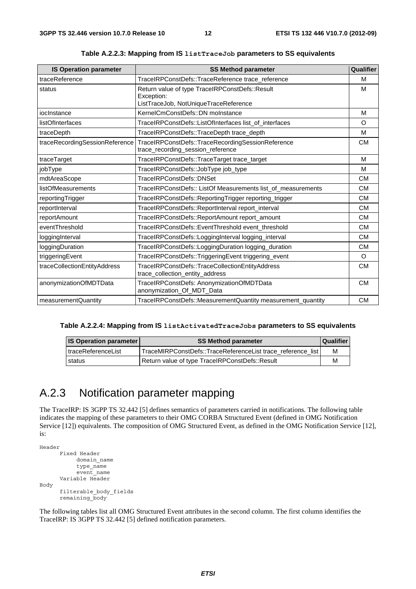| <b>IS Operation parameter</b>  | <b>SS Method parameter</b>                                                                            | Qualifier |
|--------------------------------|-------------------------------------------------------------------------------------------------------|-----------|
| traceReference                 | TraceIRPConstDefs::TraceReference trace_reference                                                     | M         |
| status                         | Return value of type TraceIRPConstDefs::Result<br>Exception:<br>ListTraceJob, NotUniqueTraceReference | M         |
| ioclnstance                    | KernelCmConstDefs::DN moInstance                                                                      | M         |
| listOfInterfaces               | TraceIRPConstDefs::ListOfInterfaces list_of_interfaces                                                | $\circ$   |
| traceDepth                     | TraceIRPConstDefs::TraceDepth trace_depth                                                             | M         |
| traceRecordingSessionReference | TraceIRPConstDefs::TraceRecordingSessionReference<br>trace_recording_session_reference                | <b>CM</b> |
| traceTarget                    | TraceIRPConstDefs::TraceTarget trace_target                                                           | M         |
| jobType                        | TraceIRPConstDefs::JobType job_type                                                                   | M         |
| mdtAreaScope                   | TraceIRPConstDefs::DNSet                                                                              | <b>CM</b> |
| listOfMeasurements             | TraceIRPConstDefs:: ListOf Measurements list_of_measurements                                          | <b>CM</b> |
| reportingTrigger               | TraceIRPConstDefs::ReportingTrigger reporting_trigger                                                 | <b>CM</b> |
| reportInterval                 | TraceIRPConstDefs::ReportInterval report_interval                                                     | <b>CM</b> |
| reportAmount                   | TraceIRPConstDefs::ReportAmount report_amount                                                         | <b>CM</b> |
| eventThreshold                 | TraceIRPConstDefs::EventThreshold event_threshold                                                     | <b>CM</b> |
| loggingInterval                | TraceIRPConstDefs::LoggingInterval logging_interval                                                   | <b>CM</b> |
| loggingDuration                | TraceIRPConstDefs::LoggingDuration logging_duration                                                   | <b>CM</b> |
| triggeringEvent                | TraceIRPConstDefs::TriggeringEvent triggering_event                                                   | O         |
| traceCollectionEntityAddress   | TraceIRPConstDefs::TraceCollectionEntityAddress<br>trace_collection_entity_address                    | <b>CM</b> |
| anonymizationOfMDTData         | TraceIRPConstDefs: AnonymizationOfMDTData<br>anonymization_Of_MDT_Data                                | <b>CM</b> |
| measurementQuantity            | TraceIRPConstDefs::MeasurementQuantity measurement_quantity                                           | <b>CM</b> |

**Table A.2.2.3: Mapping from IS listTraceJob parameters to SS equivalents** 

|  |  | Table A.2.2.4: Mapping from IS listActivatedTraceJobs parameters to SS equivalents |
|--|--|------------------------------------------------------------------------------------|
|--|--|------------------------------------------------------------------------------------|

| <b>IS Operation parameter</b> | <b>SS Method parameter</b>                                  | Qualifier |
|-------------------------------|-------------------------------------------------------------|-----------|
| I traceReferenceList          | TraceMIRPConstDefs::TraceReferenceList trace reference list | M         |
| status                        | Return value of type TraceIRPConstDefs::Result              | M         |

# A.2.3 Notification parameter mapping

The TraceIRP: IS 3GPP TS 32.442 [5] defines semantics of parameters carried in notifications. The following table indicates the mapping of these parameters to their OMG CORBA Structured Event (defined in OMG Notification Service [12]) equivalents. The composition of OMG Structured Event, as defined in the OMG Notification Service [12], is:

```
Header 
       Fixed Header 
             domain_name 
             type_name 
            event name
        Variable Header 
Body 
        filterable_body_fields 
       remaining_body
```
The following tables list all OMG Structured Event attributes in the second column. The first column identifies the TraceIRP: IS 3GPP TS 32.442 [5] defined notification parameters.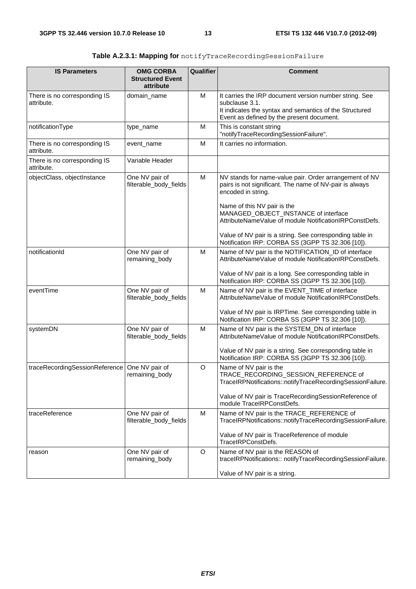| <b>IS Parameters</b>                       | <b>OMG CORBA</b>                         | <b>Qualifier</b> | <b>Comment</b>                                                                                                                                                                   |
|--------------------------------------------|------------------------------------------|------------------|----------------------------------------------------------------------------------------------------------------------------------------------------------------------------------|
|                                            | <b>Structured Event</b><br>attribute     |                  |                                                                                                                                                                                  |
| There is no corresponding IS<br>attribute. | domain_name                              | M                | It carries the IRP document version number string. See<br>subclause 3.1.<br>It indicates the syntax and semantics of the Structured<br>Event as defined by the present document. |
| notificationType                           | type_name                                | М                | This is constant string<br>"notifyTraceRecordingSessionFailure".                                                                                                                 |
| There is no corresponding IS<br>attribute. | event_name                               | M                | It carries no information.                                                                                                                                                       |
| There is no corresponding IS<br>attribute. | Variable Header                          |                  |                                                                                                                                                                                  |
| objectClass, objectInstance                | One NV pair of<br>filterable_body_fields | M                | NV stands for name-value pair. Order arrangement of NV<br>pairs is not significant. The name of NV-pair is always<br>encoded in string.                                          |
|                                            |                                          |                  | Name of this NV pair is the<br>MANAGED_OBJECT_INSTANCE of interface<br>AttributeNameValue of module NotificationIRPConstDefs.                                                    |
|                                            |                                          |                  | Value of NV pair is a string. See corresponding table in<br>Notification IRP: CORBA SS (3GPP TS 32.306 [10]).                                                                    |
| notificationId                             | One NV pair of<br>remaining_body         | M                | Name of NV pair is the NOTIFICATION_ID of interface<br>AttributeNameValue of module NotificationIRPConstDefs.                                                                    |
|                                            |                                          |                  | Value of NV pair is a long. See corresponding table in<br>Notification IRP: CORBA SS (3GPP TS 32.306 [10]).                                                                      |
| eventTime                                  | One NV pair of<br>filterable_body_fields | M                | Name of NV pair is the EVENT_TIME of interface<br>AttributeNameValue of module NotificationIRPConstDefs.                                                                         |
|                                            |                                          |                  | Value of NV pair is IRPTime. See corresponding table in<br>Notification IRP: CORBA SS (3GPP TS 32.306 [10]).                                                                     |
| systemDN                                   | One NV pair of<br>filterable_body_fields | M                | Name of NV pair is the SYSTEM_DN of interface<br>AttributeNameValue of module NotificationIRPConstDefs.                                                                          |
|                                            |                                          |                  | Value of NV pair is a string. See corresponding table in<br>Notification IRP: CORBA SS (3GPP TS 32.306 [10]).                                                                    |
| traceRecordingSessionReference             | One NV pair of<br>remaining_body         | O                | Name of NV pair is the<br>TRACE RECORDING SESSION REFERENCE of<br>TraceIRPNotifications::notifyTraceRecordingSessionFailure.                                                     |
|                                            |                                          |                  | Value of NV pair is TraceRecordingSessionReference of<br>module TraceIRPConstDefs.                                                                                               |
| traceReference                             | One NV pair of<br>filterable_body_fields | м                | Name of NV pair is the TRACE_REFERENCE of<br>TraceIRPNotifications::notifyTraceRecordingSessionFailure.                                                                          |
|                                            |                                          |                  | Value of NV pair is TraceReference of module<br>TraceIRPConstDefs.                                                                                                               |
| reason                                     | One NV pair of<br>remaining_body         | O                | Name of NV pair is the REASON of<br>traceIRPNotifications:: notifyTraceRecordingSessionFailure.                                                                                  |
|                                            |                                          |                  | Value of NV pair is a string.                                                                                                                                                    |

| Table A.2.3.1: Mapping for notifyTraceRecordingSessionFailure |
|---------------------------------------------------------------|
|                                                               |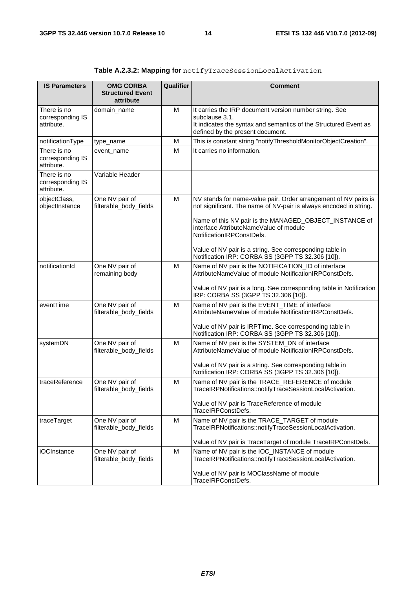| <b>IS Parameters</b>                          | <b>OMG CORBA</b><br><b>Structured Event</b><br>attribute | Qualifier | <b>Comment</b>                                                                                                                                                                   |
|-----------------------------------------------|----------------------------------------------------------|-----------|----------------------------------------------------------------------------------------------------------------------------------------------------------------------------------|
| There is no<br>corresponding IS<br>attribute. | domain_name                                              | M         | It carries the IRP document version number string. See<br>subclause 3.1.<br>It indicates the syntax and semantics of the Structured Event as<br>defined by the present document. |
| notificationType                              | type_name                                                | м         | This is constant string "notifyThresholdMonitorObjectCreation".                                                                                                                  |
| There is no<br>corresponding IS<br>attribute. | event_name                                               | M         | It carries no information.                                                                                                                                                       |
| There is no<br>corresponding IS<br>attribute. | Variable Header                                          |           |                                                                                                                                                                                  |
| objectClass,<br>objectInstance                | One NV pair of<br>filterable_body_fields                 | M         | NV stands for name-value pair. Order arrangement of NV pairs is<br>not significant. The name of NV-pair is always encoded in string.                                             |
|                                               |                                                          |           | Name of this NV pair is the MANAGED_OBJECT_INSTANCE of<br>interface AttributeNameValue of module<br>NotificationIRPConstDefs.                                                    |
|                                               |                                                          |           | Value of NV pair is a string. See corresponding table in<br>Notification IRP: CORBA SS (3GPP TS 32.306 [10]).                                                                    |
| notificationId                                | One NV pair of<br>remaining body                         | M         | Name of NV pair is the NOTIFICATION_ID of interface<br>AttributeNameValue of module NotificationIRPConstDefs.                                                                    |
|                                               |                                                          |           | Value of NV pair is a long. See corresponding table in Notification<br>IRP: CORBA SS (3GPP TS 32.306 [10]).                                                                      |
| eventTime                                     | One NV pair of<br>filterable_body_fields                 | M         | Name of NV pair is the EVENT_TIME of interface<br>AttributeNameValue of module NotificationIRPConstDefs.                                                                         |
|                                               |                                                          |           | Value of NV pair is IRPTime. See corresponding table in<br>Notification IRP: CORBA SS (3GPP TS 32.306 [10]).                                                                     |
| systemDN                                      | One NV pair of<br>filterable_body_fields                 | M         | Name of NV pair is the SYSTEM_DN of interface<br>AttributeNameValue of module NotificationIRPConstDefs.                                                                          |
|                                               |                                                          |           | Value of NV pair is a string. See corresponding table in<br>Notification IRP: CORBA SS (3GPP TS 32.306 [10]).                                                                    |
| traceReference                                | One NV pair of<br>filterable_body_fields                 | M         | Name of NV pair is the TRACE_REFERENCE of module<br>TraceIRPNotifications::notifyTraceSessionLocalActivation.                                                                    |
|                                               |                                                          |           | Value of NV pair is TraceReference of module<br>TraceIRPConstDefs.                                                                                                               |
| traceTarget                                   | One NV pair of<br>filterable_body_fields                 | M         | Name of NV pair is the TRACE_TARGET of module<br>TraceIRPNotifications::notifyTraceSessionLocalActivation.                                                                       |
|                                               |                                                          |           | Value of NV pair is TraceTarget of module TraceIRPConstDefs.                                                                                                                     |
| iOCInstance                                   | One NV pair of<br>filterable_body_fields                 | M         | Name of NV pair is the IOC_INSTANCE of module<br>TraceIRPNotifications::notifyTraceSessionLocalActivation.                                                                       |
|                                               |                                                          |           | Value of NV pair is MOClassName of module<br>TraceIRPConstDefs.                                                                                                                  |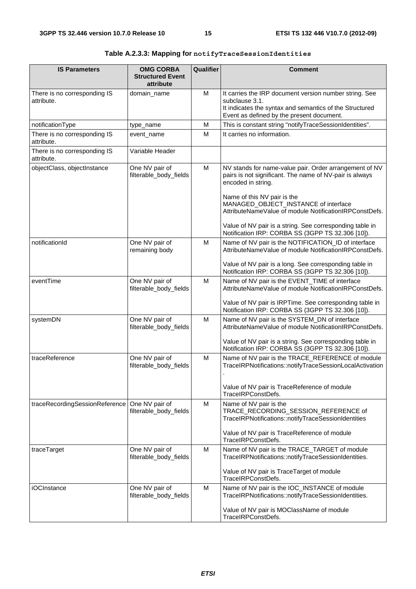| <b>IS Parameters</b>                       | <b>OMG CORBA</b><br><b>Structured Event</b><br>attribute | Qualifier | Comment                                                                                                                                                                                                                                                                                                                              |
|--------------------------------------------|----------------------------------------------------------|-----------|--------------------------------------------------------------------------------------------------------------------------------------------------------------------------------------------------------------------------------------------------------------------------------------------------------------------------------------|
| There is no corresponding IS<br>attribute. | domain_name                                              | М         | It carries the IRP document version number string. See<br>subclause 3.1.<br>It indicates the syntax and semantics of the Structured<br>Event as defined by the present document.                                                                                                                                                     |
| notificationType                           | type_name                                                | M         | This is constant string "notifyTraceSessionIdentities".                                                                                                                                                                                                                                                                              |
| There is no corresponding IS<br>attribute. | event_name                                               | М         | It carries no information.                                                                                                                                                                                                                                                                                                           |
| There is no corresponding IS<br>attribute. | Variable Header                                          |           |                                                                                                                                                                                                                                                                                                                                      |
| objectClass, objectInstance                | One NV pair of<br>filterable_body_fields                 | М         | NV stands for name-value pair. Order arrangement of NV<br>pairs is not significant. The name of NV-pair is always<br>encoded in string.<br>Name of this NV pair is the<br>MANAGED_OBJECT_INSTANCE of interface<br>AttributeNameValue of module NotificationIRPConstDefs.<br>Value of NV pair is a string. See corresponding table in |
|                                            |                                                          |           | Notification IRP: CORBA SS (3GPP TS 32.306 [10]).                                                                                                                                                                                                                                                                                    |
| notificationId                             | One NV pair of<br>remaining body                         | М         | Name of NV pair is the NOTIFICATION_ID of interface<br>AttributeNameValue of module NotificationIRPConstDefs.                                                                                                                                                                                                                        |
|                                            |                                                          |           | Value of NV pair is a long. See corresponding table in<br>Notification IRP: CORBA SS (3GPP TS 32.306 [10]).                                                                                                                                                                                                                          |
| eventTime                                  | One NV pair of<br>filterable_body_fields                 | М         | Name of NV pair is the EVENT_TIME of interface<br>AttributeNameValue of module NotificationIRPConstDefs.                                                                                                                                                                                                                             |
|                                            |                                                          |           | Value of NV pair is IRPTime. See corresponding table in<br>Notification IRP: CORBA SS (3GPP TS 32.306 [10]).                                                                                                                                                                                                                         |
| systemDN                                   | One NV pair of<br>filterable_body_fields                 | М         | Name of NV pair is the SYSTEM_DN of interface<br>AttributeNameValue of module NotificationIRPConstDefs.                                                                                                                                                                                                                              |
|                                            |                                                          |           | Value of NV pair is a string. See corresponding table in<br>Notification IRP: CORBA SS (3GPP TS 32.306 [10]).                                                                                                                                                                                                                        |
| traceReference                             | One NV pair of<br>filterable_body_fields                 | м         | Name of NV pair is the TRACE_REFERENCE of module<br>TraceIRPNotifications::notifyTraceSessionLocalActivation                                                                                                                                                                                                                         |
|                                            |                                                          |           | Value of NV pair is TraceReference of module<br>TraceIRPConstDefs.                                                                                                                                                                                                                                                                   |
| traceRecordingSessionReference             | One NV pair of<br>filterable_body_fields                 | М         | Name of NV pair is the<br>TRACE_RECORDING_SESSION_REFERENCE of<br>TraceIRPNotifications::notifyTraceSessionIdentities                                                                                                                                                                                                                |
|                                            |                                                          |           | Value of NV pair is TraceReference of module<br>TraceIRPConstDefs.                                                                                                                                                                                                                                                                   |
| traceTarget                                | One NV pair of<br>filterable_body_fields                 | М         | Name of NV pair is the TRACE_TARGET of module<br>TraceIRPNotifications::notifyTraceSessionIdentities.                                                                                                                                                                                                                                |
|                                            |                                                          |           | Value of NV pair is TraceTarget of module<br>TraceIRPConstDefs.                                                                                                                                                                                                                                                                      |
| <b>iOCInstance</b>                         | One NV pair of<br>filterable_body_fields                 | м         | Name of NV pair is the IOC_INSTANCE of module<br>TraceIRPNotifications::notifyTraceSessionIdentities.                                                                                                                                                                                                                                |
|                                            |                                                          |           | Value of NV pair is MOClassName of module<br>TraceIRPConstDefs.                                                                                                                                                                                                                                                                      |

**Table A.2.3.3: Mapping for notifyTraceSessionIdentities**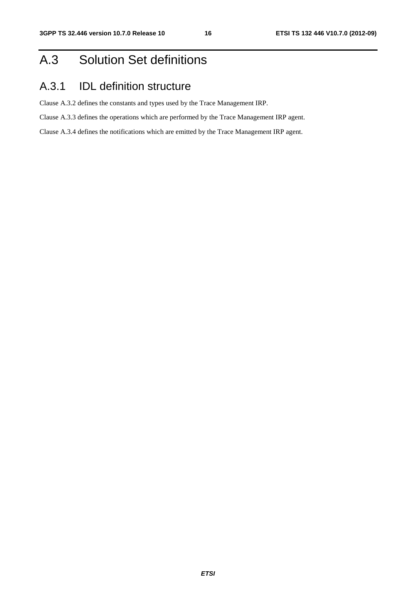# A.3 Solution Set definitions

# A.3.1 IDL definition structure

Clause A.3.2 defines the constants and types used by the Trace Management IRP.

Clause A.3.3 defines the operations which are performed by the Trace Management IRP agent.

Clause A.3.4 defines the notifications which are emitted by the Trace Management IRP agent.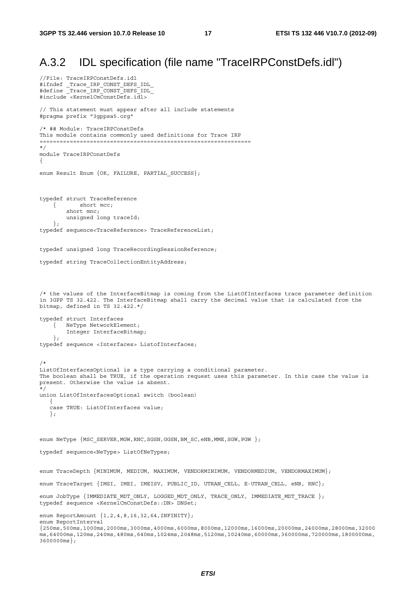## A.3.2 IDL specification (file name "TraceIRPConstDefs.idl")

```
//File: TraceIRPConstDefs.idl 
#ifndef _Trace_IRP_CONST_DEFS_IDL_ 
#define _Trace_IRP_CONST_DEFS_IDL_ 
#include <KernelCmConstDefs.idl> 
// This statement must appear after all include statements 
#pragma prefix "3gppsa5.org" 
/* ## Module: TraceIRPConstDefs 
This module contains commonly used definitions for Trace IRP 
=============================================================== 
*/ 
module TraceIRPConstDefs 
{ 
enum Result Enum {OK, FAILURE, PARTIAL_SUCCESS}; 
typedef struct TraceReference 
     { short mcc; 
         short mnc; 
         unsigned long traceId; 
     }; 
typedef sequence<TraceReference> TraceReferenceList; 
typedef unsigned long TraceRecordingSessionReference; 
typedef string TraceCollectionEntityAddress; 
/* the values of the InterfaceBitmap is coming from the ListOfInterfaces trace parameter definition 
in 3GPP TS 32.422. The InterfaceBitmap shall carry the decimal value that is calculated from the 
bitmap, defined in TS 32.422.*/ 
typedef struct Interfaces 
     { NeType NetworkElement; 
         Integer InterfaceBitmap; 
     }; 
typedef sequence <Interfaces> ListofInterfaces; 
/* 
ListOfInterfacesOptional is a type carrying a conditional parameter. 
The boolean shall be TRUE, if the operation request uses this parameter. In this case the value is 
present. Otherwise the value is absent. 
*/ 
union ListOfInterfacesOptional switch (boolean) 
\{ case TRUE: ListOfInterfaces value; 
    }; 
enum NeType {MSC_SERVER, MGW, RNC, SGSN, GGSN, BM_SC, eNB, MME, SGW, PGW };
typedef sequence<NeType> ListOfNeTypes; 
enum TraceDepth {MINIMUM, MEDIUM, MAXIMUM, VENDORMINIMUM, VENDORMEDIUM, VENDORMAXIMUM};
enum TraceTarget {IMSI, IMEI, IMEISV, PUBLIC_ID, UTRAN_CELL, E-UTRAN_CELL, eNB, RNC}; 
enum JobType {IMMEDIATE_MDT_ONLY, LOGGED_MDT_ONLY, TRACE_ONLY, IMMEDIATE_MDT_TRACE };
typedef sequence <KernelCmConstDefs::DN> DNSet; 
enum ReportAmount {1,2,4,8,16,32,64,INFINITY}; 
enum ReportInterval 
{250ms,500ms,1000ms,2000ms,3000ms,4000ms,6000ms,8000ms,12000ms,16000ms,20000ms,24000ms,28000ms,32000
ms,64000ms,120ms,240ms,480ms,640ms,1024ms,2048ms,5120ms,10240ms,60000ms,360000ms,720000ms,1800000ms,
3600000ms};
```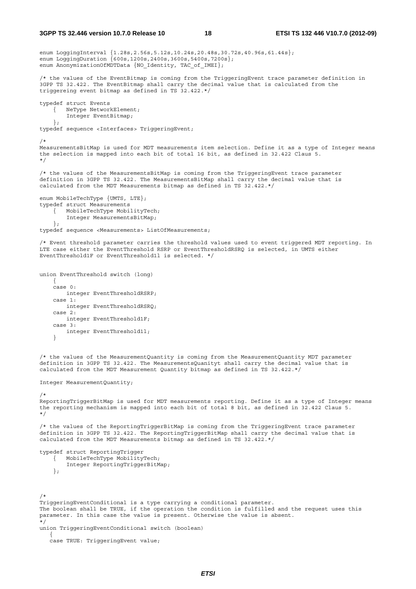```
enum LoggingInterval {1.28s,2.56s,5.12s,10.24s,20.48s,30.72s,40.96s,61.44s}; 
enum LoggingDuration {600s,1200s,2400s,3600s,5400s,7200s}; 
enum AnonymizationOfMDTData {NO_Identity, TAC_of_IMEI};
/* the values of the EventBitmap is coming from the TriggeringEvent trace parameter definition in 
3GPP TS 32.422. The EventBitmap shall carry the decimal value that is calculated from the 
triggereing event bitmap as defined in TS 32.422.*/ 
typedef struct Events 
     { NeType NetworkElement; 
         Integer EventBitmap; 
     }; 
typedef sequence <Interfaces> TriggeringEvent; 
/* 
MeasurementsBitMap is used for MDT measurements item selection. Define it as a type of Integer means 
the selection is mapped into each bit of total 16 bit, as defined in 32.422 Claus 5. 
*/ 
/* the values of the MeasurementsBitMap is coming from the TriggeringEvent trace parameter 
definition in 3GPP TS 32.422. The MeasurementsBitMap shall carry the decimal value that is 
calculated from the MDT Measurements bitmap as defined in TS 32.422.*/ 
enum MobileTechType {UMTS, LTE}; 
typedef struct Measurements 
     { MobileTechType MobilityTech; 
         Integer MeasurementsBitMap; 
     }; 
typedef sequence <Measurements> ListOfMeasurements; 
/* Event threshold parameter carries the threshold values used to event triggered MDT reporting. In 
LTE case either the EventThreshold RSRP or EventThresholdRSRQ is selected, in UMTS either 
EventThreshold1F or EventThreshold1l is selected. */ 
union EventThreshold switch (long) 
    \left\{ \right. case 0: 
        integer EventThresholdRSRP; 
     case 1: 
        integer EventThresholdRSRQ; 
     case 2: 
        integer EventThreshold1F; 
     case 3: 
        integer EventThreshold1l; 
     } 
/* the values of the MeasurementQuantity is coming from the MeasurementQuantity MDT parameter 
definition in 3GPP TS 32.422. The MeasurementsQuanityt shall carry the decimal value that is 
calculated from the MDT Measurement Quantity bitmap as defined in TS 32.422.*/ 
Integer MeasurementQuantity; 
/* 
ReportingTriggerBitMap is used for MDT measurements reporting. Define it as a type of Integer means 
the reporting mechanism is mapped into each bit of total 8 bit, as defined in 32.422 Claus 5. 
*/ 
/* the values of the ReportingTriggerBitMap is coming from the TriggeringEvent trace parameter 
definition in 3GPP TS 32.422. The ReportingTriggerBitMap shall carry the decimal value that is 
calculated from the MDT Measurements bitmap as defined in TS 32.422.*/ 
typedef struct ReportingTrigger 
     { MobileTechType MobilityTech; 
         Integer ReportingTriggerBitMap; 
     };
```
/\*

TriggeringEventConditional is a type carrying a conditional parameter. The boolean shall be TRUE, if the operation the condition is fulfilled and the request uses this parameter. In this case the value is present. Otherwise the value is absent. \*/ union TriggeringEventConditional switch (boolean) {

case TRUE: TriggeringEvent value;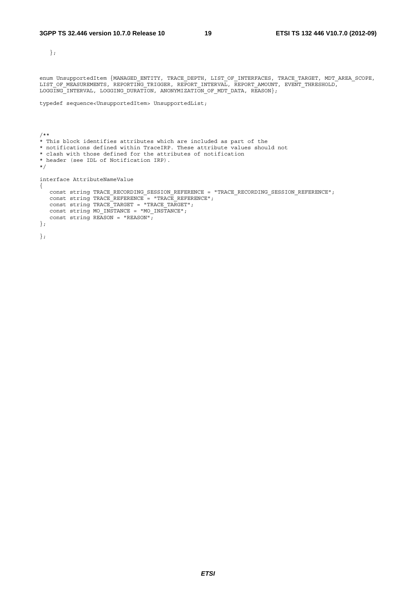};

enum UnsupportedItem {MANAGED\_ENTITY, TRACE\_DEPTH, LIST\_OF\_INTERFACES, TRACE\_TARGET, MDT\_AREA\_SCOPE, LIST\_OF\_MEASUREMENTS, REPORTING\_TRIGGER, REPORT\_INTERVAL, REPORT\_AMOUNT, EVENT\_THRESHOLD, LOGGING INTERVAL, LOGGING DURATION, ANONYMIZATION OF MDT DATA, REASON};

```
typedef sequence<UnsupportedItem> UnsupportedList;
```
/\*\* \* This block identifies attributes which are included as part of the \* notifications defined within TraceIRP. These attribute values should not \* clash with those defined for the attributes of notification \* header (see IDL of Notification IRP). \*/ interface AttributeNameValue { const string TRACE RECORDING SESSION REFERENCE = "TRACE RECORDING SESSION REFERENCE";  $const$  string TRACE\_REFERENCE = "TRACE\_REFERENCE"; const string TRACE\_TARGET = "TRACE\_TARGET"; const string MO\_INSTANCE = "MO\_INSTANCE"; const string  $RESON = "REASON"$ ; }; };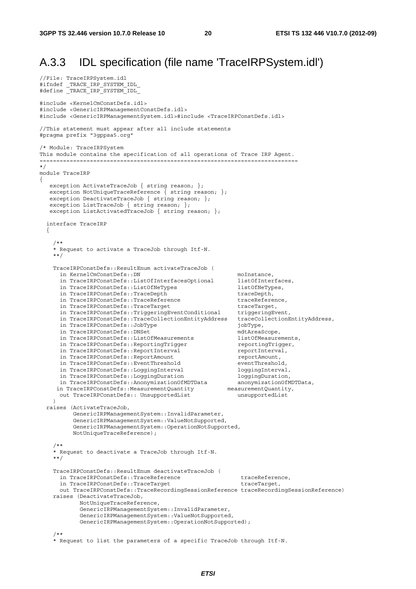# A.3.3 IDL specification (file name 'TraceIRPSystem.idl')

```
//File: TraceIRPSystem.idl 
#ifndef _TRACE_IRP_SYSTEM_IDL_ 
#define _TRACE_IRP_SYSTEM_IDL_ 
#include <KernelCmConstDefs.idl> 
#include <GenericIRPManagementConstDefs.idl> 
#include <GenericIRPManagementSystem.idl>#include <TraceIRPConstDefs.idl> 
//This statement must appear after all include statements 
#pragma prefix "3gppsa5.org" 
/* Module: TraceIRPSystem 
This module contains the specification of all operations of Trace IRP Agent. 
============================================================================= 
*/ 
module TraceIRP 
{ 
   exception ActivateTraceJob { string reason; };
   exception NotUniqueTraceReference \{ string reason; \};exception DeactivateTraceJob { string reason; };
   exception ListTraceJob { string reason; };
   exception ListActivatedTraceJob { string reason; };
   interface TraceIRP 
\left\{\right./** * Request to activate a TraceJob through Itf-N. 
     **/ 
     TraceIRPConstDefs::ResultEnum activateTraceJob ( 
      in KernelCmConstDefs::DN moInstance,<br>in TraceIRPConstDefs::ListOfInterfacesOptional listOfInterfaces,
      in TraceIRPConstDefs::ListOfInterfacesOptional listOfInterface<br>in TraceIRPConstDefs::ListOfNeTypes listOfNeTypes,
      in TraceIRPConstDefs::ListOfNeTypes listOfNeTypes<br>in TraceIRPConstDefs::TraceDepth traceDepth,
      in TraceIRPConstDefs::TraceDepth
      in TraceIRPConstDefs::TraceReference traceReference,<br>in TraceIRPConstDefs::TraceTarqet traceTarget,
in TraceIRPConstDefs::TraceTarget traceTarget,
 in TraceIRPConstDefs::TriggeringEventConditional triggeringEvent, 
       in TraceIRPConstDefs::TraceCollectionEntityAddress traceCollectionEntityAddress, 
       in TraceIRPConstDefs::JobType jobType, 
      in TraceIRPConstDefs::DNSet
      in TraceIRPConstDefs::ListOfMeasurements listOfMeasurements,<br>in TraceIRPConstDefs::ReportingTrigger reportingTrigger,
       in TraceIRPConstDefs::ReportingTrigger reportingTrigger, 
      in TraceIRPConstDefs::ReportInterval
      in TraceIRPConstDefs::ReportAmount<br>in TraceIRPConstDefs::EventThreshold reventThreshold,
      in TraceIRPConstDefs::EventThreshold
      in TraceIRPConstDefs::LoggingInterval loggingInterval,<br>in TraceIRPConstDefs::LoggingDuration loggingDuration,
      in TraceIRPConstDefs::LoggingDuration
       in TraceIRPConstDefs::AnonymizationOfMDTData anonymizationOfMDTData, 
     in TraceIRPConstDefs::Anonymization.com/intervalue.magnitity/intervalue.magnitity/<br>in TraceIRPConstDefs::MeasurementQuantity measurementQuantity
       out TraceIRPConstDefs:: UnsupportedList unsupportedList 
     ) 
   raises (ActivateTraceJob, 
           GenericIRPManagementSystem::InvalidParameter, 
            GenericIRPManagementSystem::ValueNotSupported, 
            GenericIRPManagementSystem::OperationNotSupported, 
           NotUniqueTraceReference); 
     /** 
     * Request to deactivate a TraceJob through Itf-N. 
     **/ 
     TraceIRPConstDefs::ResultEnum deactivateTraceJob ( 
       in TraceIRPConstDefs::TraceReference traceReference, 
      in TraceIRPConstDefs::TraceTarget the traceTarget
       out TraceIRPConstDefs::TraceRecordingSessionReference traceRecordingSessionReference) 
     raises (DeactivateTraceJob, 
              NotUniqueTraceReference, 
              GenericIRPManagementSystem::InvalidParameter, 
              GenericIRPManagementSystem::ValueNotSupported, 
              GenericIRPManagementSystem::OperationNotSupported); 
 /** 
     * Request to list the parameters of a specific TraceJob through Itf-N.
```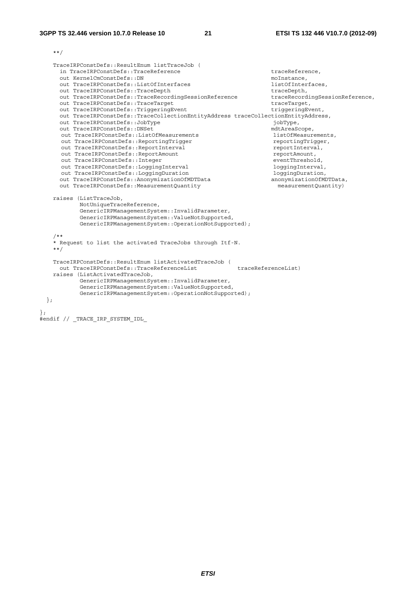\*\*/

```
 TraceIRPConstDefs::ResultEnum listTraceJob ( 
   in TraceIRPConstDefs::TraceReference traceReference.
    out KernelCmConstDefs::DN moInstance, 
   out TraceIRPConstDefs::ListOfInterfaces<br>out TraceIRPConstDefs::TraceDepth<br>traceDepth
   out TraceIRPConstDefs::TraceDepth<br>
out TraceIRPConstDefs::TraceRecordingSessionReference traceRecordingSessionReference
   out TraceIRPConstDefs::TraceRecordingSessionReference
   out TraceIRPConstDefs::TraceTarget traceTarget,
   out TraceIRPConstDefs::TriggeringEvent triggeringEvent,
    out TraceIRPConstDefs::TraceCollectionEntityAddress traceCollectionEntityAddress, 
   out TraceIRPConstDefs::JobType jobType,
   out TraceIRPConstDefs::DNSet mdtAreaScope,
     out TraceIRPConstDefs::ListOfMeasurements listOfMeasurements, 
    out TraceIRPConstDefs::ReportingTrigger reportingTrigger,<br>out TraceIRPConstDefs::ReportInterval reportInterval,
    out TraceIRPConstDefs::ReportInterval reportInterval reportInterval reportInterva<br>out TraceIRPConstDefs::ReportAmount reportAmount.
    out TraceIRPConstDefs::ReportAmount
    out TraceIRPConstDefs::Integer<br>
out TraceIRPConstDefs::LoqqinqInterval<br>
loqqinqInterval,
    out TraceIRPConstDefs::LoggingInterval loggingInterval,<br>out TraceIRPConstDefs::LoggingDuration loggingDuration,
    out TraceIRPConstDefs::LoggingDuration loggingDuration,<br>
out TraceIRPConstDefs::AnonymizationOfMDTData anonymizationOfMDTData,
   out TraceIRPConstDefs::AnonymizationOfMDTData
    out TraceIRPConstDefs::MeasurementQuantity measurementQuantity) 
   raises (ListTraceJob, 
           NotUniqueTraceReference, 
           GenericIRPManagementSystem::InvalidParameter, 
           GenericIRPManagementSystem::ValueNotSupported, 
           GenericIRPManagementSystem::OperationNotSupported); 
   /** 
   * Request to list the activated TraceJobs through Itf-N. 
   **/ 
  TraceIRPConstDefs::ResultEnum listActivatedTraceJob ( 
   out TraceIRPConstDefs::TraceReferenceList traceReferenceList)
   raises (ListActivatedTraceJob, 
           GenericIRPManagementSystem::InvalidParameter, 
           GenericIRPManagementSystem::ValueNotSupported, 
           GenericIRPManagementSystem::OperationNotSupported); 
 };
```

```
#endif // _TRACE_IRP_SYSTEM_IDL_
```
};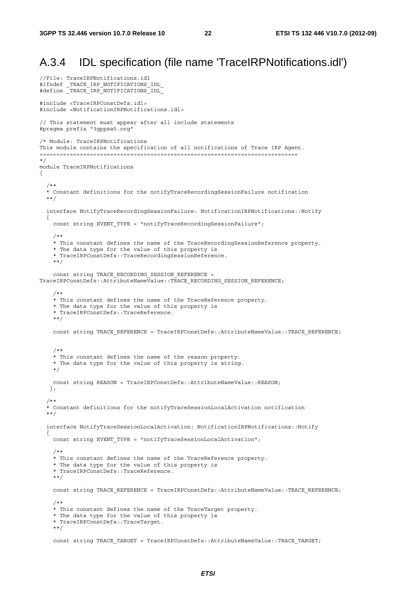## A.3.4 IDL specification (file name 'TraceIRPNotifications.idl')

```
//File: TraceIRPNotifications.idl 
#ifndef _TRACE_IRP_NOTIFICATIONS_IDL_ 
#define _TRACE_IRP_NOTIFICATIONS_IDL_ 
#include <TraceIRPConstDefs.idl> 
#include <NotificationIRPNotifications.idl> 
// This statement must appear after all include statements 
#pragma prefix "3gppsa5.org" 
/* Module: TraceIRPNotifications 
This module contains the specification of all notifications of Trace IRP Agent. 
============================================================================= 
*/ 
module TraceIRPNotifications 
{ 
   /** 
   * Constant definitions for the notifyTraceRecordingSessionFailure notification 
   **/ 
   interface NotifyTraceRecordingSessionFailure: NotificationIRPNotifications::Notify 
   { 
    const string EVENT TYPE = "notifyTraceRecordingSessionFailure";
     /** 
     * This constant defines the name of the TraceRecordingSessionReference property. 
     * The data type for the value of this property is 
     * TraceIRPConstDefs::TraceRecordingSessionReference. 
     **/ 
    const string TRACE RECORDING SESSION REFERENCE =
TraceIRPConstDefs::AttributeNameValue::TRACE_RECORDING_SESSION_REFERENCE;
 /** 
     * This constant defines the name of the TraceReference property. 
     * The data type for the value of this property is 
     * TraceIRPConstDefs::TraceReference. 
     **/ 
    const string TRACE REFERENCE = TraceIRPConstDefs::AttributeNameValue::TRACE REFERENCE;
     /** 
     * This constant defines the name of the reason property. 
     * The data type for the value of this property is string. 
     */ 
     const string REASON = TraceIRPConstDefs::AttributeNameValue::REASON; 
    }; 
   /** 
   * Constant definitions for the notifyTraceSessionLocalActivation notification 
   **/ 
  interface NotifyTraceSessionLocalActivation: NotificationIRPNotifications::Notify
   { 
    const string EVENT TYPE = "notifyTraceSessionLocalActivation";
 /** 
     * This constant defines the name of the TraceReference property. 
     * The data type for the value of this property is 
     * TraceIRPConstDefs::TraceReference. 
     **/ 
    const string TRACE REFERENCE = TraceIRPConstDefs::AttributeNameValue::TRACE REFERENCE;
     /** 
     * This constant defines the name of the TraceTarget property. 
     * The data type for the value of this property is 
     * TraceIRPConstDefs::TraceTarget. 
     **/ 
     const string TRACE_TARGET = TraceIRPConstDefs::AttributeNameValue::TRACE_TARGET;
```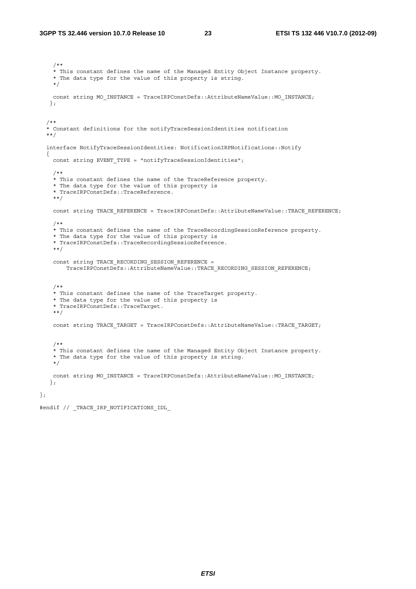/\*\* \* This constant defines the name of the Managed Entity Object Instance property. \* The data type for the value of this property is string. \*/ const string MO\_INSTANCE = TraceIRPConstDefs::AttributeNameValue::MO\_INSTANCE; }; /\*\* \* Constant definitions for the notifyTraceSessionIdentities notification \*\*/ interface NotifyTraceSessionIdentities: NotificationIRPNotifications::Notify { const string EVENT TYPE = "notifyTraceSessionIdentities"; /\*\* \* This constant defines the name of the TraceReference property. \* The data type for the value of this property is \* TraceIRPConstDefs::TraceReference. \*\*/ const string TRACE REFERENCE = TraceIRPConstDefs::AttributeNameValue::TRACE REFERENCE; /\*\* \* This constant defines the name of the TraceRecordingSessionReference property. \* The data type for the value of this property is \* TraceIRPConstDefs::TraceRecordingSessionReference. \*\*/ const string TRACE\_RECORDING\_SESSION\_REFERENCE = TraceIRPConstDefs::AttributeNameValue::TRACE\_RECORDING\_SESSION\_REFERENCE; /\*\* \* This constant defines the name of the TraceTarget property. \* The data type for the value of this property is \* TraceIRPConstDefs::TraceTarget. \*\*/ const string TRACE\_TARGET = TraceIRPConstDefs::AttributeNameValue::TRACE\_TARGET; /\*\* \* This constant defines the name of the Managed Entity Object Instance property. \* The data type for the value of this property is string. \*/ const string MO\_INSTANCE = TraceIRPConstDefs::AttributeNameValue::MO\_INSTANCE; };

#endif // \_TRACE\_IRP\_NOTIFICATIONS\_IDL\_

};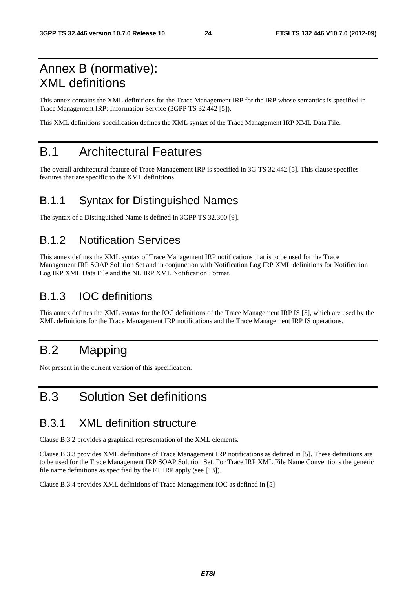# Annex B (normative): XML definitions

This annex contains the XML definitions for the Trace Management IRP for the IRP whose semantics is specified in Trace Management IRP: Information Service (3GPP TS 32.442 [5]).

This XML definitions specification defines the XML syntax of the Trace Management IRP XML Data File.

# B.1 Architectural Features

The overall architectural feature of Trace Management IRP is specified in 3G TS 32.442 [5]. This clause specifies features that are specific to the XML definitions.

# B.1.1 Syntax for Distinguished Names

The syntax of a Distinguished Name is defined in 3GPP TS 32.300 [9].

## B.1.2 Notification Services

This annex defines the XML syntax of Trace Management IRP notifications that is to be used for the Trace Management IRP SOAP Solution Set and in conjunction with Notification Log IRP XML definitions for Notification Log IRP XML Data File and the NL IRP XML Notification Format.

### B.1.3 IOC definitions

This annex defines the XML syntax for the IOC definitions of the Trace Management IRP IS [5], which are used by the XML definitions for the Trace Management IRP notifications and the Trace Management IRP IS operations.

# B.2 Mapping

Not present in the current version of this specification.

# B.3 Solution Set definitions

## B.3.1 XML definition structure

Clause B.3.2 provides a graphical representation of the XML elements.

Clause B.3.3 provides XML definitions of Trace Management IRP notifications as defined in [5]. These definitions are to be used for the Trace Management IRP SOAP Solution Set. For Trace IRP XML File Name Conventions the generic file name definitions as specified by the FT IRP apply (see [13]).

Clause B.3.4 provides XML definitions of Trace Management IOC as defined in [5].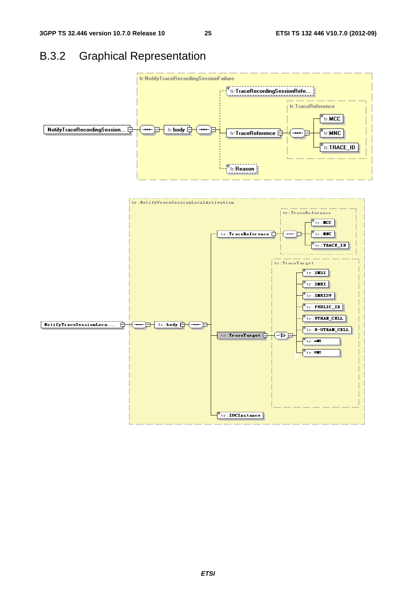# B.3.2 Graphical Representation



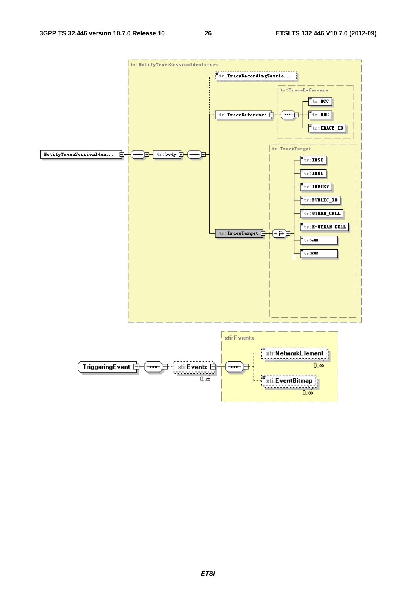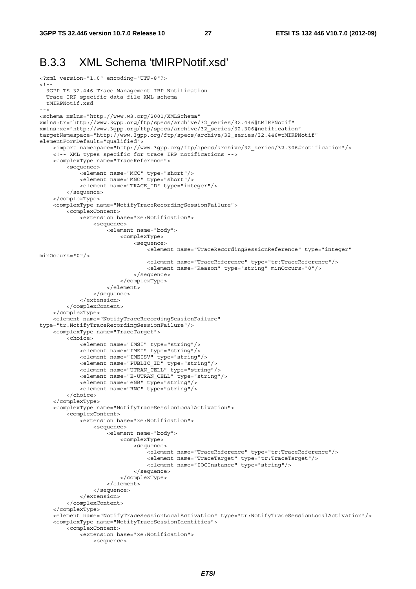#### B.3.3 XML Schema 'tMIRPNotif.xsd'

```
<?xml version="1.0" encoding="UTF-8"?> 
\leq ! - 3GPP TS 32.446 Trace Management IRP Notification 
  Trace IRP specific data file XML schema 
  tMIRPNotif.xsd 
--> 
<schema xmlns="http://www.w3.org/2001/XMLSchema" 
xmlns:tr="http://www.3gpp.org/ftp/specs/archive/32_series/32.446#tMIRPNotif" 
xmlns:xe="http://www.3gpp.org/ftp/specs/archive/32_series/32.306#notification" 
targetNamespace="http://www.3gpp.org/ftp/specs/archive/32_series/32.446#tMIRPNotif" 
elementFormDefault="qualified"> 
     <import namespace="http://www.3gpp.org/ftp/specs/archive/32_series/32.306#notification"/> 
     <!-- XML types specific for trace IRP notifications --> 
     <complexType name="TraceReference"> 
         <sequence> 
 <element name="MCC" type="short"/> 
 <element name="MNC" type="short"/> 
             <element name="TRACE_ID" type="integer"/> 
         </sequence> 
     </complexType> 
     <complexType name="NotifyTraceRecordingSessionFailure"> 
         <complexContent> 
             <extension base="xe:Notification"> 
                  <sequence> 
                     .<br><element name="bodv">
                          <complexType> 
                              <sequence> 
                                 <element name="TraceRecordingSessionReference" type="integer"
minOccurs="0"/> 
                                  <element name="TraceReference" type="tr:TraceReference"/> 
                                  <element name="Reason" type="string" minOccurs="0"/> 
                              </sequence> 
                          </complexType> 
                      </element> 
                  </sequence> 
             </extension> 
         </complexContent> 
     </complexType> 
     <element name="NotifyTraceRecordingSessionFailure" 
type="tr:NotifyTraceRecordingSessionFailure"/> 
     <complexType name="TraceTarget"> 
         <choice> 
             <element name="IMSI" type="string"/> 
             <element name="IMEI" type="string"/> 
             <element name="IMEISV" type="string"/> 
             <element name="PUBLIC_ID" type="string"/> 
             <element name="UTRAN_CELL" type="string"/> 
             <element name="E-UTRAN_CELL" type="string"/> 
 <element name="eNB" type="string"/> 
 <element name="RNC" type="string"/> 
         </choice> 
     </complexType> 
     <complexType name="NotifyTraceSessionLocalActivation"> 
         <complexContent> 
             <extension base="xe:Notification"> 
                  <sequence> 
                      <element name="body"> 
                          <complexType> 
                              <sequence> 
                                  .<br><element name="TraceReference" type="tr:TraceReference"/>
                                  <element name="TraceTarget" type="tr:TraceTarget"/> 
                                  <element name="IOCInstance" type="string"/> 
                              </sequence> 
                          </complexType> 
                      </element> 
                  </sequence> 
             </extension> 
         </complexContent> 
     </complexType> 
     <element name="NotifyTraceSessionLocalActivation" type="tr:NotifyTraceSessionLocalActivation"/> 
     <complexType name="NotifyTraceSessionIdentities"> 
         <complexContent> 
             <extension base="xe:Notification"> 
                  <sequence>
```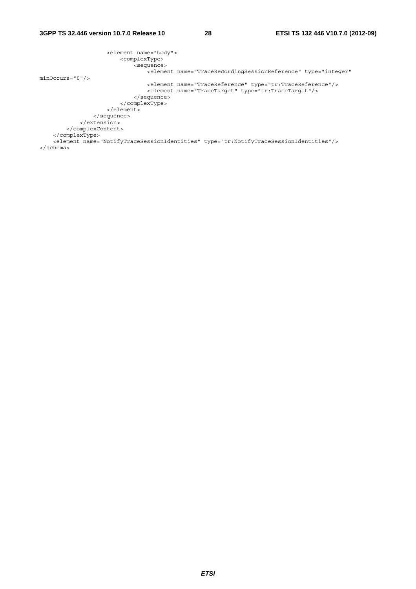```
 <element name="body"> 
                          <complexType> 
                              <sequence> 
                                  <element name="TraceRecordingSessionReference" type="integer" 
minOccurs="0"/> 
                                  <element name="TraceReference" type="tr:TraceReference"/> 
                                  <element name="TraceTarget" type="tr:TraceTarget"/> 
                              </sequence> 
                          </complexType> 
                      </element> 
                 </sequence> 
             </extension> 
         </complexContent> 
     </complexType> 
     <element name="NotifyTraceSessionIdentities" type="tr:NotifyTraceSessionIdentities"/> 
</schema>
```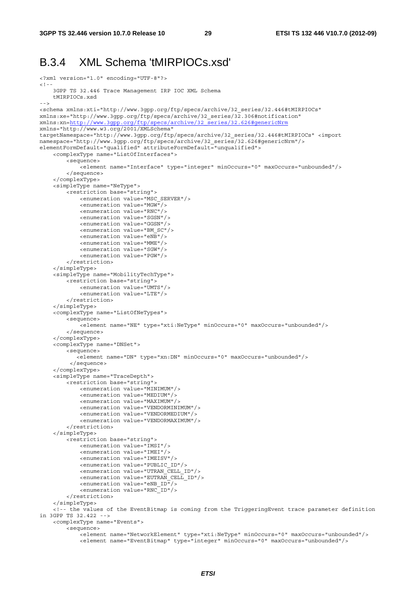#### B.3.4 XML Schema 'tMIRPIOCs.xsd'

```
<?xml version="1.0" encoding="UTF-8"?> 
\leq ! - 3GPP TS 32.446 Trace Management IRP IOC XML Schema 
     tMIRPIOCs.xsd 
- - -<schema xmlns:xti="http://www.3gpp.org/ftp/specs/archive/32_series/32.446#tMIRPIOCs" 
xmlns:xe="http://www.3gpp.org/ftp/specs/archive/32_series/32.306#notification" 
xmlns:xn=http://www.3gpp.org/ftp/specs/archive/32_series/32.626#genericNrm
xmlns="http://www.w3.org/2001/XMLSchema" 
targetNamespace="http://www.3gpp.org/ftp/specs/archive/32_series/32.446#tMIRPIOCs" <import 
namespace="http://www.3gpp.org/ftp/specs/archive/32_series/32.626#genericNrm"/> 
elementFormDefault="qualified" attributeFormDefault="unqualified">
     <complexType name="ListOfInterfaces"> 
         <sequence> 
            -<br>-<element name="Interface" type="integer" minOccurs="0" maxOccurs="unbounded"/>
         </sequence> 
     </complexType> 
     <simpleType name="NeType"> 
         <restriction base="string"> 
             <enumeration value="MSC_SERVER"/> 
             <enumeration value="MGW"/> 
             <enumeration value="RNC"/> 
             <enumeration value="SGSN"/> 
             <enumeration value="GGSN"/> 
             <enumeration value="BM_SC"/> 
             <enumeration value="eNB"/> 
              <enumeration value="MME"/> 
             <enumeration value="SGW"/> 
             <enumeration value="PGW"/> 
         </restriction> 
     </simpleType> 
     <simpleType name="MobilityTechType"> 
         <restriction base="string"> 
             <enumeration value="UMTS"/> 
             <enumeration value="LTE"/> 
         </restriction> 
     </simpleType> 
     <complexType name="ListOfNeTypes"> 
         <sequence> 
              <element name="NE" type="xti:NeType" minOccurs="0" maxOccurs="unbounded"/> 
         </sequence> 
     </complexType> 
     <complexType name="DNSet"> 
         <sequence> 
             <element name="DN" type="xn:DN" minOccurs="0" maxOccurs="unbounded"/> 
          </sequence> 
     </complexType> 
     <simpleType name="TraceDepth"> 
         <restriction base="string"> 
             <enumeration value="MINIMUM"/> 
             <enumeration value="MEDIUM"/> 
             <enumeration value="MAXIMUM"/> 
              <enumeration value="VENDORMINIMUM"/> 
             <enumeration value="VENDORMEDIUM"/> 
             <enumeration value="VENDORMAXIMUM"/> 
         </restriction> 
     </simpleType> 
         <restriction base="string"> 
             <enumeration value="IMSI"/> 
             <enumeration value="IMEI"/> 
             <enumeration value="IMEISV"/> 
             <enumeration value="PUBLIC_ID"/> 
             <enumeration value="UTRAN_CELL_ID"/> 
             <enumeration value="EUTRAN_CELL_ID"/> 
             <enumeration value="eNB_ID"/> 
             <enumeration value="RNC_ID"/> 
         </restriction> 
     </simpleType> 
     <!-- the values of the EventBitmap is coming from the TriggeringEvent trace parameter definition 
in 3GPP TS 32.422 --> 
     <complexType name="Events"> 
         <sequence> 
            .<br><element name="NetworkElement" type="xti:NeType" minOccurs="0" maxOccurs="unbounded"/>
              <element name="EventBitmap" type="integer" minOccurs="0" maxOccurs="unbounded"/>
```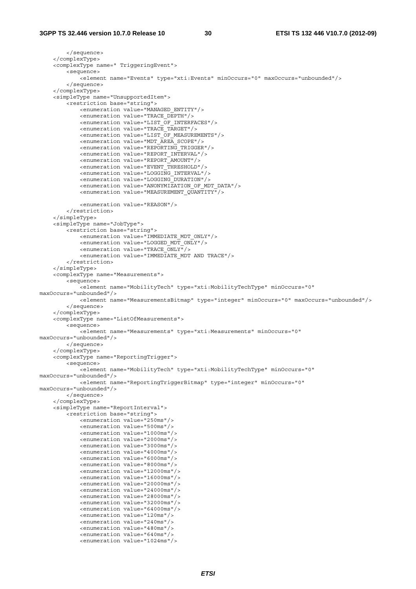```
 </sequence> 
     </complexType> 
     <complexType name=" TriggeringEvent"> 
         <sequence> 
              <element name="Events" type="xti:Events" minOccurs="0" maxOccurs="unbounded"/> 
         </sequence> 
     </complexType> 
     <simpleType name="UnsupportedItem"> 
         <restriction base="string"> 
              <enumeration value="MANAGED_ENTITY"/> 
              <enumeration value="TRACE_DEPTH"/> 
              <enumeration value="LIST_OF_INTERFACES"/> 
              <enumeration value="TRACE_TARGET"/> 
              <enumeration value="LIST_OF_MEASUREMENTS"/> 
              <enumeration value="MDT_AREA_SCOPE"/> 
              <enumeration value="REPORTING_TRIGGER"/> 
              <enumeration value="REPORT_INTERVAL"/> 
              <enumeration value="REPORT_AMOUNT"/> 
              <enumeration value="EVENT_THRESHOLD"/> 
              <enumeration value="LOGGING_INTERVAL"/> 
              <enumeration value="LOGGING_DURATION"/> 
              <enumeration value="ANONYMIZATION_OF_MDT_DATA"/> 
              <enumeration value="MEASUREMENT_QUANTITY"/> 
              <enumeration value="REASON"/> 
         </restriction> 
     </simpleType> 
     <simpleType name="JobType"> 
         <restriction base="string"> 
              <enumeration value="IMMEDIATE_MDT_ONLY"/> 
              <enumeration value="LOGGED_MDT_ONLY"/> 
              <enumeration value="TRACE_ONLY"/> 
              <enumeration value="IMMEDIATE_MDT AND TRACE"/> 
         </restriction> 
     </simpleType> 
     <complexType name="Measurements"> 
         <sequence> 
              <element name="MobilityTech" type="xti:MobilityTechType" minOccurs="0" 
maxOccurs="unbounded"/> 
              <element name="MeasurementsBitmap" type="integer" minOccurs="0" maxOccurs="unbounded"/> 
         </sequence> 
     </complexType> 
     <complexType name="ListOfMeasurements"> 
         <sequence> 
             <element name="Measurements" type="xti:Measurements" minOccurs="0" 
maxOccurs="unbounded"/> 
         </sequence> 
     </complexType> 
     <complexType name="ReportingTrigger"> 
         <sequence> 
             -<br>-<element name="MobilityTech" type="xti:MobilityTechType" minOccurs="0"
maxOccurs="unbounded"/> 
             <element name="ReportingTriggerBitmap" type="integer" minOccurs="0" 
maxOccurs="unbounded"/> 
         </sequence> 
     </complexType> 
     <simpleType name="ReportInterval"> 
         <restriction base="string"> 
              <enumeration value="250ms"/> 
              <enumeration value="500ms"/> 
              <enumeration value="1000ms"/> 
              <enumeration value="2000ms"/> 
              <enumeration value="3000ms"/> 
              <enumeration value="4000ms"/> 
              <enumeration value="6000ms"/> 
              <enumeration value="8000ms"/> 
              <enumeration value="12000ms"/> 
              <enumeration value="16000ms"/> 
              <enumeration value="20000ms"/> 
              <enumeration value="24000ms"/> 
              <enumeration value="28000ms"/> 
              <enumeration value="32000ms"/> 
              <enumeration value="64000ms"/> 
              <enumeration value="120ms"/> 
              <enumeration value="240ms"/> 
              <enumeration value="480ms"/> 
              <enumeration value="640ms"/> 
              <enumeration value="1024ms"/>
```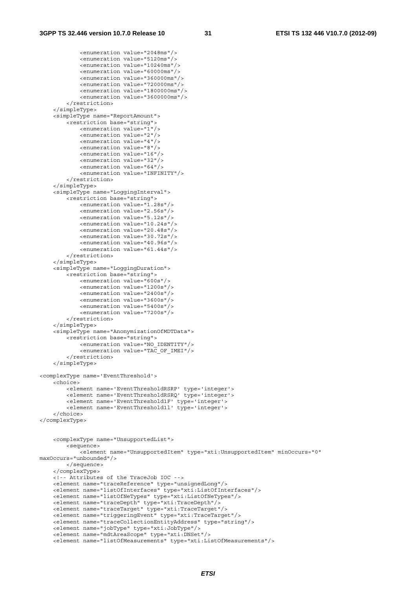<enumeration value="2048ms"/>

```
 <enumeration value="5120ms"/> 
             <enumeration value="10240ms"/> 
             <enumeration value="60000ms"/> 
              <enumeration value="360000ms"/> 
             <enumeration value="720000ms"/> 
              <enumeration value="1800000ms"/> 
             <enumeration value="3600000ms"/> 
         </restriction> 
     </simpleType> 
     <simpleType name="ReportAmount"> 
         <restriction base="string"> 
             <enumeration value="1"/> 
             <enumeration value="2"/> 
             <enumeration value="4"/> 
             <enumeration value="8"/> 
             <enumeration value="16"/> 
             <enumeration value="32"/> 
             <enumeration value="64"/> 
             <enumeration value="INFINITY"/> 
         </restriction> 
     </simpleType> 
     <simpleType name="LoggingInterval"> 
         <restriction base="string"> 
             <enumeration value="1.28s"/> 
              <enumeration value="2.56s"/> 
             <enumeration value="5.12s"/> 
             <enumeration value="10.24s"/> 
             <enumeration value="20.48s"/> 
             <enumeration value="30.72s"/> 
             <enumeration value="40.96s"/> 
              <enumeration value="61.44s"/> 
         </restriction> 
     </simpleType> 
     <simpleType name="LoggingDuration"> 
         <restriction base="string"> 
             <enumeration value="600s"/> 
             <enumeration value="1200s"/> 
             <enumeration value="2400s"/> 
             <enumeration value="3600s"/> 
             <enumeration value="5400s"/> 
             <enumeration value="7200s"/> 
         </restriction> 
     </simpleType> 
     <simpleType name="AnonymizationOfMDTData"> 
         <restriction base="string"> 
             <enumeration value="NO_IDENTITY"/> 
             <enumeration value="TAC_OF_IMEI"/> 
         </restriction> 
     </simpleType> 
<complexType name='EventThreshold'> 
     <choice> 
         <element name='EventThresholdRSRP' type='integer'> 
         <element name='EventThresholdRSRQ' type='integer'> 
         <element name='EventThreshold1F' type='integer'> 
         <element name='EventThreshold1l' type='integer'> 
     </choice> 
</complexType> 
     <complexType name="UnsupportedList"> 
         <sequence> 
             <element name="UnsupportedItem" type="xti:UnsupportedItem" minOccurs="0" 
maxOccurs="unbounded"/> 
         </sequence> 
     </complexType> 
     <!-- Attributes of the TraceJob IOC --> 
     <element name="traceReference" type="unsignedLong"/> 
     <element name="listOfInterfaces" type="xti:ListOfInterfaces"/> 
     <element name="listOfNeTypes" type="xti:ListOfNeTypes"/> 
 <element name="traceDepth" type="xti:TraceDepth"/> 
 <element name="traceTarget" type="xti:TraceTarget"/> 
     <element name="triggeringEvent" type="xti:TraceTarget"/> 
     <element name="traceCollectionEntityAddress" type="string"/> 
     <element name="jobType" type="xti:JobType"/> 
     <element name="mdtAreaScope" type="xti:DNSet"/> 
     <element name="listOfMeasurements" type="xti:ListOfMeasurements"/>
```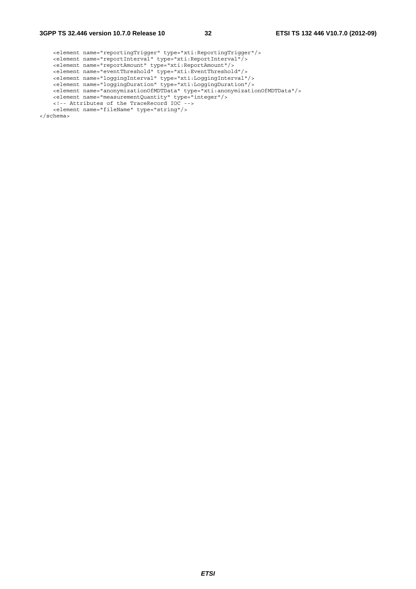```
 <element name="reportingTrigger" type="xti:ReportingTrigger"/> 
 <element name="reportInterval" type="xti:ReportInterval"/> 
 <element name="reportAmount" type="xti:ReportAmount"/> 
 <element name="eventThreshold" type="xti:EventThreshold"/> 
 <element name="loggingInterval" type="xti:LoggingInterval"/> 
 <element name="loggingDuration" type="xti:LoggingDuration"/> 
 <element name="anonymizationOfMDTData" type="xti:anonymizationOfMDTData"/> 
 <element name="measurementQuantity" type="integer"/> 
     <!-- Attributes of the TraceRecord IOC --> 
     <element name="fileName" type="string"/> 
</schema>
```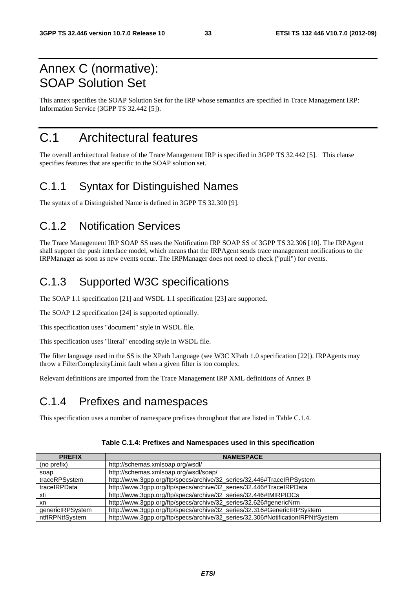# Annex C (normative): SOAP Solution Set

This annex specifies the SOAP Solution Set for the IRP whose semantics are specified in Trace Management IRP: Information Service (3GPP TS 32.442 [5]).

# C.1 Architectural features

The overall architectural feature of the Trace Management IRP is specified in 3GPP TS 32.442 [5]. This clause specifies features that are specific to the SOAP solution set.

## C.1.1 Syntax for Distinguished Names

The syntax of a Distinguished Name is defined in 3GPP TS 32.300 [9].

## C.1.2 Notification Services

The Trace Management IRP SOAP SS uses the Notification IRP SOAP SS of 3GPP TS 32.306 [10]. The IRPAgent shall support the push interface model, which means that the IRPAgent sends trace management notifications to the IRPManager as soon as new events occur. The IRPManager does not need to check ("pull") for events.

# C.1.3 Supported W3C specifications

The SOAP 1.1 specification [21] and WSDL 1.1 specification [23] are supported.

The SOAP 1.2 specification [24] is supported optionally.

This specification uses "document" style in WSDL file.

This specification uses "literal" encoding style in WSDL file.

The filter language used in the SS is the XPath Language (see W3C XPath 1.0 specification [22]). IRPAgents may throw a FilterComplexityLimit fault when a given filter is too complex.

Relevant definitions are imported from the Trace Management IRP XML definitions of Annex B

# C.1.4 Prefixes and namespaces

This specification uses a number of namespace prefixes throughout that are listed in Table C.1.4.

| <b>PREFIX</b>    | <b>NAMESPACE</b>                                                                |
|------------------|---------------------------------------------------------------------------------|
| (no prefix)      | http://schemas.xmlsoap.org/wsdl/                                                |
| soap             | http://schemas.xmlsoap.org/wsdl/soap/                                           |
| traceRPSystem    | http://www.3gpp.org/ftp/specs/archive/32_series/32.446#TraceIRPSystem           |
| traceIRPData     | http://www.3gpp.org/ftp/specs/archive/32_series/32.446#TraceIRPData             |
| xti              | http://www.3gpp.org/ftp/specs/archive/32_series/32.446#tMIRPIOCs                |
| xn               | http://www.3gpp.org/ftp/specs/archive/32_series/32.626#genericNrm               |
| genericIRPSystem | http://www.3gpp.org/ftp/specs/archive/32_series/32.316#GenericIRPSystem         |
| ntflRPNtfSystem  | http://www.3gpp.org/ftp/specs/archive/32_series/32.306#NotificationIRPNtfSystem |

#### **Table C.1.4: Prefixes and Namespaces used in this specification**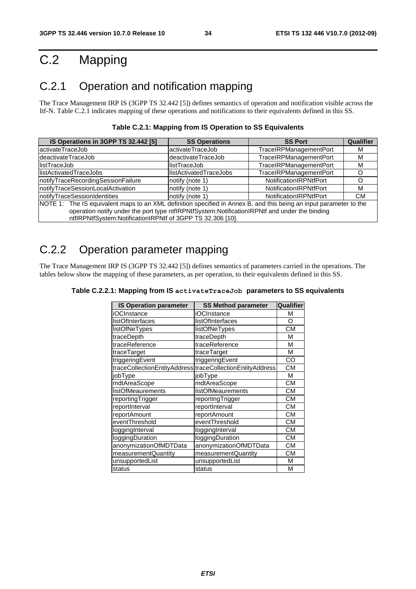# C.2 Mapping

# C.2.1 Operation and notification mapping

The Trace Management IRP IS (3GPP TS 32.442 [5]) defines semantics of operation and notification visible across the Itf-N. Table C.2.1 indicates mapping of these operations and notifications to their equivalents defined in this SS.

| IS Operations in 3GPP TS 32.442 [5]                                                                                | <b>SS Operations</b>   | <b>SS Port</b>                | <b>Qualifier</b> |
|--------------------------------------------------------------------------------------------------------------------|------------------------|-------------------------------|------------------|
| lactivateTraceJob                                                                                                  | activateTraceJob       | <b>TraceIRPManagementPort</b> | M                |
| deactivateTraceJob                                                                                                 | deactivateTraceJob     | TraceIRPManagementPort        | м                |
| llistTraceJob                                                                                                      | listTraceJob           | <b>TraceIRPManagementPort</b> | м                |
| llistActivatedTraceJobs                                                                                            | listActivatedTraceJobs | <b>TraceIRPManagementPort</b> |                  |
| notifyTraceRecordingSessionFailure                                                                                 | notify (note 1)        | NotificationIRPNtfPort        |                  |
| notifyTraceSessionLocalActivation                                                                                  | notify (note 1)        | NotificationIRPNtfPort        | M                |
| notifyTraceSessionIdentities                                                                                       | notify (note 1)        | <b>NotificationIRPNtfPort</b> | <b>CM</b>        |
| NOTE 1: The IS equivalent maps to an XML definition specified in Annex B, and this being an input parameter to the |                        |                               |                  |
| operation notify under the port type ntflRPNtfSystem:NotificationIRPNtf and under the binding                      |                        |                               |                  |
| ntflRPNtfSystem:NotificationIRPNtf of 3GPP TS 32.306 [10].                                                         |                        |                               |                  |

# C.2.2 Operation parameter mapping

The Trace Management IRP IS (3GPP TS 32.442 [5]) defines semantics of parameters carried in the operations. The tables below show the mapping of these parameters, as per operation, to their equivalents defined in this SS.

| <b>IS Operation parameter</b> | <b>SS Method parameter</b>                                | Qualifier |
|-------------------------------|-----------------------------------------------------------|-----------|
| iOCInstance                   | iOCInstance                                               | М         |
| listOfInterfaces              | listOfInterfaces                                          | O         |
| listOfNeTypes                 | listOfNeTypes                                             | <b>CM</b> |
| traceDepth                    | traceDepth                                                | M         |
| traceReference                | traceReference                                            | М         |
| traceTarget                   | traceTarget                                               | M         |
| triggeringEvent               | triggeringEvent                                           | CO        |
|                               | traceCollectionEntityAddress traceCollectionEntityAddress | СM        |
| jobType                       | jobType                                                   | M         |
| mdtAreaScope                  | mdtAreaScope                                              | <b>CM</b> |
| <b>listOfMeaurements</b>      | <b>listOfMeaurements</b>                                  | CМ        |
| reportingTrigger              | reportingTrigger                                          | <b>CM</b> |
| reportInterval                | reportInterval                                            | CМ        |
| reportAmount                  | reportAmount                                              | CМ        |
| eventThreshold                | eventThreshold                                            | <b>CM</b> |
| loggingInterval               | loggingInterval                                           | <b>CM</b> |
| loggingDuration               | loggingDuration                                           | <b>CM</b> |
| anonymizationOfMDTData        | anonymizationOfMDTData                                    | CМ        |
| measurementQuantity           | measurementQuantity                                       | CМ        |
| unsupportedList               | unsupportedList                                           | M         |
| status                        | status                                                    | M         |

| Table C.2.2.1: Mapping from IS activateTraceJob parameters to SS equivalents |  |
|------------------------------------------------------------------------------|--|
|------------------------------------------------------------------------------|--|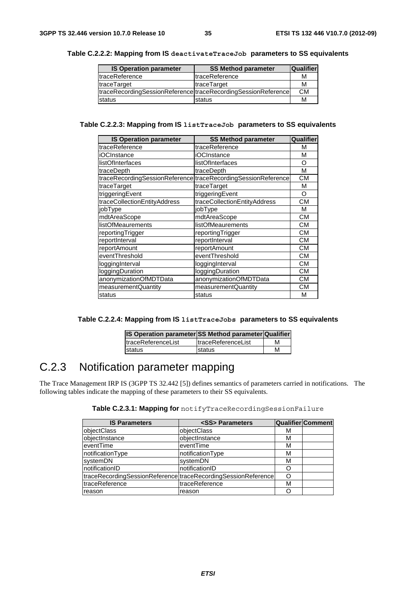| <b>IS Operation parameter</b> | <b>SS Method parameter</b>                                    | <b>Qualifier</b> |
|-------------------------------|---------------------------------------------------------------|------------------|
| traceReference                | ItraceReference                                               | м                |
| traceTarget                   | traceTarget                                                   | м                |
|                               | traceRecordingSessionReference traceRecordingSessionReference | <b>CM</b>        |
| status                        | status                                                        | М                |

#### **Table C.2.2.2: Mapping from IS deactivateTraceJob parameters to SS equivalents**

#### **Table C.2.2.3: Mapping from IS listTraceJob parameters to SS equivalents**

| <b>IS Operation parameter</b> | <b>SS Method parameter</b>                                    | Qualifier |
|-------------------------------|---------------------------------------------------------------|-----------|
| traceReference                | traceReference                                                | M         |
| <b>iOCInstance</b>            | iOCInstance                                                   | М         |
| listOfInterfaces              | listOfInterfaces                                              | O         |
| traceDepth                    | traceDepth                                                    | М         |
|                               | traceRecordingSessionReference traceRecordingSessionReference | <b>CM</b> |
| traceTarget                   | traceTarget                                                   | м         |
| triggeringEvent               | triggeringEvent                                               | O         |
| traceCollectionEntityAddress  | traceCollectionEntityAddress                                  | CМ        |
| jobType                       | jobType                                                       | М         |
| mdtAreaScope                  | mdtAreaScope                                                  | CМ        |
| <b>listOfMeaurements</b>      | <b>listOfMeaurements</b>                                      | CМ        |
| reportingTrigger              | reportingTrigger                                              | <b>CM</b> |
| reportInterval                | reportInterval                                                | CМ        |
| reportAmount                  | reportAmount                                                  | <b>CM</b> |
| eventThreshold                | eventThreshold                                                | CМ        |
| loggingInterval               | loggingInterval                                               | СM        |
| loggingDuration               | loggingDuration                                               | <b>CM</b> |
| anonymizationOfMDTData        | anonymizationOfMDTData                                        | CМ        |
| measurementQuantity           | measurementQuantity                                           | CМ        |
| status                        | status                                                        | М         |

| Table C.2.2.4: Mapping from IS 1istTraceJobs parameters to SS equivalents |  |
|---------------------------------------------------------------------------|--|
|---------------------------------------------------------------------------|--|

| <b>IS Operation parameter SS Method parameter Qualifier</b> |                            |   |
|-------------------------------------------------------------|----------------------------|---|
| <b>ItraceReferenceList</b>                                  | <b>ItraceReferenceList</b> | м |
| <b>Istatus</b>                                              | status                     | М |

# C.2.3 Notification parameter mapping

The Trace Management IRP IS (3GPP TS 32.442 [5]) defines semantics of parameters carried in notifications. The following tables indicate the mapping of these parameters to their SS equivalents.

|  |  | Table C.2.3.1: Mapping for notifyTraceRecordingSessionFailure |
|--|--|---------------------------------------------------------------|
|--|--|---------------------------------------------------------------|

| <b>IS Parameters</b> | <ss> Parameters</ss>                                          |   | <b>Qualifier Comment</b> |
|----------------------|---------------------------------------------------------------|---|--------------------------|
| objectClass          | objectClass                                                   | м |                          |
| objectInstance       | objectInstance                                                | м |                          |
| leventTime           | eventTime                                                     | м |                          |
| notificationType     | notificationType                                              | м |                          |
| systemDN             | systemDN                                                      | М |                          |
| InotificationID      | notificationID                                                |   |                          |
|                      | traceRecordingSessionReference traceRecordingSessionReference |   |                          |
| traceReference       | traceReference                                                | М |                          |
| reason               | reason                                                        |   |                          |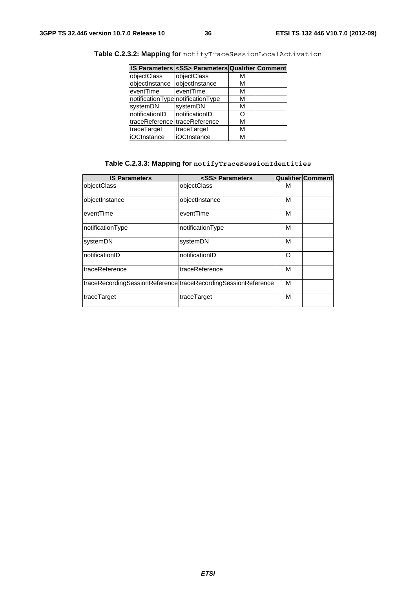|                               | IS Parameters <ss> Parameters Qualifier Comment</ss> |   |  |
|-------------------------------|------------------------------------------------------|---|--|
| objectClass                   | objectClass                                          | м |  |
| objectInstance                | objectInstance                                       | м |  |
| eventTime                     | eventTime                                            | М |  |
|                               | notificationType notificationType                    | м |  |
| systemDN                      | systemDN                                             | м |  |
| notificationID                | notificationID                                       | O |  |
| traceReference traceReference |                                                      | м |  |
| traceTarget                   | traceTarget                                          | М |  |
| <b>iOCInstance</b>            | iOCInstance                                          | м |  |

**Table C.2.3.2: Mapping for** notifyTraceSessionLocalActivation

#### **Table C.2.3.3: Mapping for notifyTraceSessionIdentities**

| <b>IS Parameters</b>                                          | <ss> Parameters</ss> |   | Qualifier Comment |
|---------------------------------------------------------------|----------------------|---|-------------------|
| objectClass                                                   | objectClass          | м |                   |
| objectInstance                                                | objectInstance       | м |                   |
| eventTime                                                     | eventTime            | м |                   |
| notificationType                                              | notificationType     | М |                   |
| systemDN                                                      | systemDN             | м |                   |
| InotificationID                                               | notificationID       | Ω |                   |
| <b>ItraceReference</b>                                        | traceReference       | М |                   |
| traceRecordingSessionReference traceRecordingSessionReference |                      | M |                   |
| traceTarget                                                   | traceTarget          | M |                   |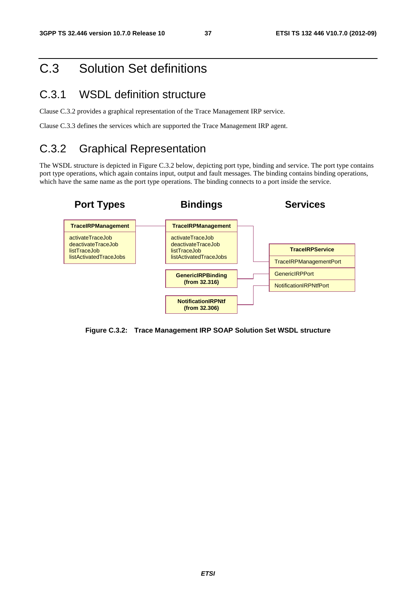# C.3 Solution Set definitions

### C.3.1 WSDL definition structure

Clause C.3.2 provides a graphical representation of the Trace Management IRP service.

Clause C.3.3 defines the services which are supported the Trace Management IRP agent.

# C.3.2 Graphical Representation

The WSDL structure is depicted in Figure C.3.2 below, depicting port type, binding and service. The port type contains port type operations, which again contains input, output and fault messages. The binding contains binding operations, which have the same name as the port type operations. The binding connects to a port inside the service.



**Figure C.3.2: Trace Management IRP SOAP Solution Set WSDL structure**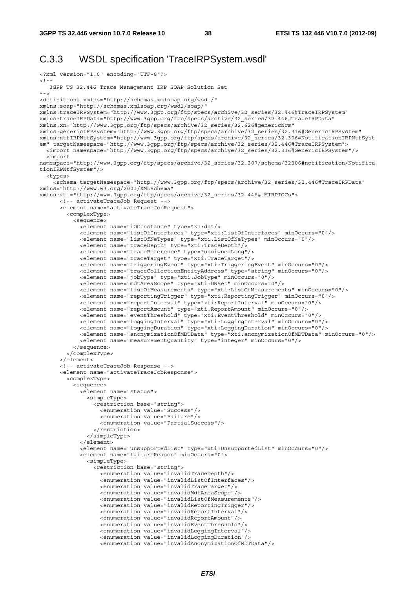### C.3.3 WSDL specification 'TraceIRPSystem.wsdl'

```
<?xml version="1.0" encoding="UTF-8"?> 
\lt ! -
   3GPP TS 32.446 Trace Management IRP SOAP Solution Set 
--> 
<definitions xmlns="http://schemas.xmlsoap.org/wsdl/" 
xmlns:soap="http://schemas.xmlsoap.org/wsdl/soap/" 
xmlns:traceIRPSystem="http://www.3gpp.org/ftp/specs/archive/32_series/32.446#TraceIRPSystem" 
xmlns:traceIRPData="http://www.3gpp.org/ftp/specs/archive/32_series/32.446#TraceIRPData" 
xmlns:xn="http://www.3gpp.org/ftp/specs/archive/32_series/32.626#genericNrm" 
xmlns:genericIRPSystem="http://www.3gpp.org/ftp/specs/archive/32_series/32.316#GenericIRPSystem" 
xmlns:ntfIRPNtfSystem="http://www.3gpp.org/ftp/specs/archive/32_series/32.306#NotificationIRPNtfSyst
em" targetNamespace="http://www.3gpp.org/ftp/specs/archive/32_series/32.446#TraceIRPSystem">
   <import namespace="http://www.3gpp.org/ftp/specs/archive/32_series/32.316#GenericIRPSystem"/> 
   <import 
namespace="http://www.3gpp.org/ftp/specs/archive/32_series/32.307/schema/32306#notification/Notifica
tionIRPNtfSystem"/> 
   <types> 
     <schema targetNamespace="http://www.3gpp.org/ftp/specs/archive/32_series/32.446#TraceIRPData" 
xmlns="http://www.w3.org/2001/XMLSchema" 
xmlns:xti="http://www.3gpp.org/ftp/specs/archive/32_series/32.446#tMIRPIOCs"> 
       <!-- activateTraceJob Request --> 
       <element name="activateTraceJobRequest"> 
         <complexType> 
           <sequence> 
             <element name="iOCInstance" type="xn:dn"/> 
             <element name="listOfInterfaces" type="xti:ListOfInterfaces" minOccurs="0"/> 
             <element name="listOfNeTypes" type="xti:ListOfNeTypes" minOccurs="0"/> 
             <element name="traceDepth" type="xti:TraceDepth"/> 
             <element name="traceReference" type="unsignedLong"/> 
             <element name="traceTarget" type="xti:TraceTarget"/> 
             <element name="triggeringEvent" type="xti:TriggeringEvent" minOccurs="0"/> 
             <element name="traceCollectionEntityAddress" type="string" minOccurs="0"/> 
             <element name="jobType" type="xti:JobType" minOccurs="0"/> 
             <element name="mdtAreaScope" type="xti:DNSet" minOccurs="0"/> 
             <element name="listOfMeasurements" type="xti:ListOfMeasurements" minOccurs="0"/> 
             <element name="reportingTrigger" type="xti:ReportingTrigger" minOccurs="0"/> 
             <element name="reportInterval" type="xti:ReportInterval" minOccurs="0"/> 
             <element name="reportAmount" type="xti:ReportAmount" minOccurs="0"/> 
             <element name="eventThreshold" type="xti:EventThreshold" minOccurs="0"/> 
             <element name="loggingInterval" type="xti:LoggingInterval" minOccurs="0"/> 
             <element name="loggingDuration" type="xti:LoggingDuration" minOccurs="0"/> 
             <element name="anonymizationOfMDTData" type="xti:anonymizationOfMDTData" minOccurs="0"/> 
             <element name="measurementQuantity" type="integer" minOccurs="0"/> 
           </sequence> 
         </complexType> 
       </element> 
       <!-- activateTraceJob Response --> 
       <element name="activateTraceJobResponse"> 
         <complexType> 
           <sequence> 
             <element name="status"> 
               <simpleType> 
                 <restriction base="string"> 
                   <enumeration value="Success"/> 
                    <enumeration value="Failure"/> 
                    <enumeration value="PartialSuccess"/> 
                 </restriction> 
                </simpleType> 
            \epsilon/element>
             <element name="unsupportedList" type="xti:UnsupportedList" minOccurs="0"/> 
             <element name="failureReason" minOccurs="0"> 
               <simpleType> 
                  <restriction base="string"> 
                    <enumeration value="invalidTraceDepth"/> 
                    <enumeration value="invalidListOfInterfaces"/> 
                    <enumeration value="invalidTraceTarget"/> 
                    <enumeration value="invalidMdtAreaScope"/> 
                    <enumeration value="invalidListOfMeasurements"/> 
                    <enumeration value="invalidReportingTrigger"/> 
                    <enumeration value="invalidReportInterval"/> 
                    <enumeration value="invalidReportAmount"/> 
                    <enumeration value="invalidEventThreshold"/> 
                    <enumeration value="invalidLoggingInterval"/> 
                    <enumeration value="invalidLoggingDuration"/> 
                    <enumeration value="invalidAnonymizationOfMDTData"/>
```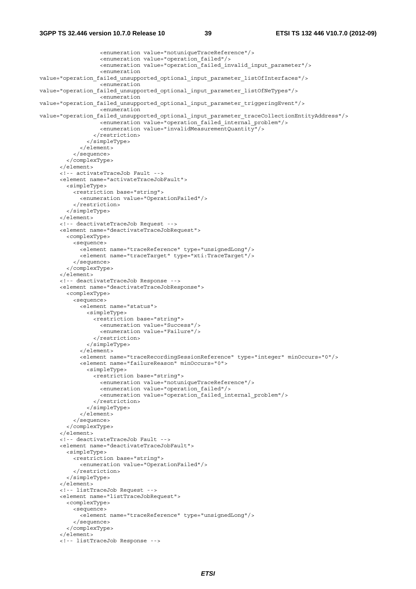```
 <enumeration value="notuniqueTraceReference"/> 
                    <enumeration value="operation_failed"/> 
                    <enumeration value="operation_failed_invalid_input_parameter"/> 
                    <enumeration 
value="operation failed unsupported optional input parameter listOfInterfaces"/>
                    <enumeration 
value="operation failed unsupported optional input parameter listOfNeTypes"/>
                    <enumeration 
value="operation failed unsupported optional input parameter triggeringEvent"/>
                    <enumeration 
value="operation failed unsupported optional input parameter traceCollectionEntityAddress"/>
                    <enumeration value="operation_failed_internal_problem"/> 
                    <enumeration value="invalidMeasurementQuantity"/> 
                  </restriction> 
                </simpleType> 
              </element> 
            </sequence> 
         </complexType> 
       </element> 
       <!-- activateTraceJob Fault --> 
       <element name="activateTraceJobFault"> 
         <simpleType> 
           <restriction base="string"> 
             <enumeration value="OperationFailed"/> 
           </restriction> 
         </simpleType> 
       </element> 
       <!-- deactivateTraceJob Request --> 
       <element name="deactivateTraceJobRequest"> 
         <complexType> 
           <sequence> 
              <element name="traceReference" type="unsignedLong"/> 
              <element name="traceTarget" type="xti:TraceTarget"/> 
            </sequence> 
          </complexType> 
       </element> 
       <!-- deactivateTraceJob Response --> 
       <element name="deactivateTraceJobResponse"> 
         <complexType> 
           <sequence> 
              <element name="status"> 
                <simpleType> 
                  <restriction base="string"> 
                    <enumeration value="Success"/> 
                    <enumeration value="Failure"/> 
                  </restriction> 
                </simpleType> 
              </element> 
              <element name="traceRecordingSessionReference" type="integer" minOccurs="0"/> 
              <element name="failureReason" minOccurs="0"> 
                <simpleType> 
                  <restriction base="string"> 
                    <enumeration value="notuniqueTraceReference"/> 
                    <enumeration value="operation_failed"/> 
                    <enumeration value="operation_failed_internal_problem"/> 
                  </restriction> 
                </simpleType> 
              </element> 
            </sequence> 
         </complexType> 
       </element> 
       <!-- deactivateTraceJob Fault --> 
       <element name="deactivateTraceJobFault"> 
         <simpleType> 
           <restriction base="string"> 
              <enumeration value="OperationFailed"/> 
            </restriction> 
         </simpleType> 
       </element> 
       <!-- listTraceJob Request --> 
       <element name="listTraceJobRequest"> 
         <complexType> 
           <sequence> 
              <element name="traceReference" type="unsignedLong"/> 
            </sequence> 
          </complexType> 
       </element> 
       <!-- listTraceJob Response -->
```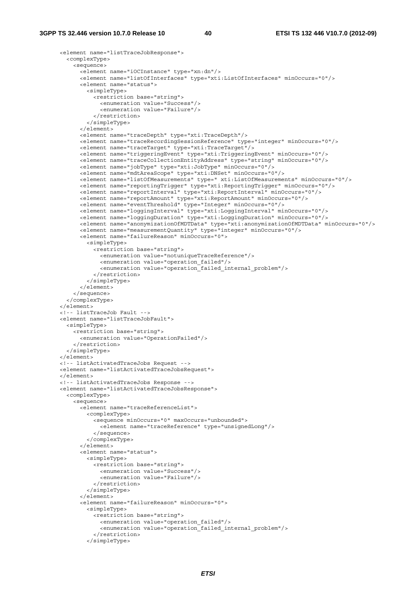```
 <element name="listTraceJobResponse"> 
         <complexType> 
           <sequence> 
             <element name="iOCInstance" type="xn:dn"/> 
             <element name="listOfInterfaces" type="xti:ListOfInterfaces" minOccurs="0"/> 
             <element name="status"> 
               <simpleType> 
                 <restriction base="string"> 
                   <enumeration value="Success"/> 
                    <enumeration value="Failure"/> 
                 </restriction> 
               </simpleType> 
            \epsilon/element>
             <element name="traceDepth" type="xti:TraceDepth"/> 
             <element name="traceRecordingSessionReference" type="integer" minOccurs="0"/> 
             <element name="traceTarget" type="xti:TraceTarget"/> 
             <element name="triggeringEvent" type="xti:TriggeringEvent" minOccurs="0"/> 
             <element name="traceCollectionEntityAddress" type="string" minOccurs="0"/> 
             <element name="jobType" type="xti:JobType" minOccurs="0"/> 
             <element name="mdtAreaScope" type="xti:DNSet" minOccurs="0"/> 
             <element name="listOfMeasurements" type=" xti:ListOfMeasurements" minOccurs="0"/> 
             <element name="reportingTrigger" type="xti:ReportingTrigger" minOccurs="0"/> 
             <element name="reportInterval" type="xti:ReportInterval" minOccurs="0"/> 
             <element name="reportAmount" type="xti:ReportAmount" minOccurs="0"/> 
 <element name="eventThreshold" type="Integer" minOccurs="0"/> 
 <element name="loggingInterval" type="xti:LoggingInterval" minOccurs="0"/> 
             <element name="loggingDuration" type="xti:LoggingDuration" minOccurs="0"/> 
             <element name="anonymizationOfMDTData" type="xti:anonymizationOfMDTData" minOccurs="0"/> 
             <element name="measurementQuantity" type="integer" minOccurs="0"/> 
             <element name="failureReason" minOccurs="0"> 
               <simpleType> 
                 <restriction base="string"> 
                   <enumeration value="notuniqueTraceReference"/> 
                   <enumeration value="operation_failed"/> 
                   <enumeration value="operation_failed_internal_problem"/> 
                 </restriction> 
               </simpleType> 
             </element> 
           </sequence> 
         </complexType> 
       </element> 
       <!-- listTraceJob Fault --> 
       <element name="listTraceJobFault"> 
         <simpleType> 
           <restriction base="string"> 
             <enumeration value="OperationFailed"/> 
           </restriction> 
         </simpleType> 
       </element> 
       <!-- listActivatedTraceJobs Request --> 
       <element name="listActivatedTraceJobsRequest"> 
       </element> 
       <!-- listActivatedTraceJobs Response --> 
       <element name="listActivatedTraceJobsResponse"> 
         <complexType> 
           <sequence> 
             <element name="traceReferenceList"> 
               <complexType> 
                 <sequence minOccurs="0" maxOccurs="unbounded"> 
                   <element name="traceReference" type="unsignedLong"/> 
                 </sequence> 
               </complexType> 
             </element> 
             <element name="status"> 
               <simpleType> 
                 <restriction base="string"> 
                   <enumeration value="Success"/> 
                   <enumeration value="Failure"/> 
                 </restriction> 
               </simpleType> 
             </element> 
             <element name="failureReason" minOccurs="0"> 
               <simpleType> 
                 <restriction base="string"> 
                   <enumeration value="operation_failed"/> 
                   <enumeration value="operation_failed_internal_problem"/> 
                 </restriction> 
               </simpleType>
```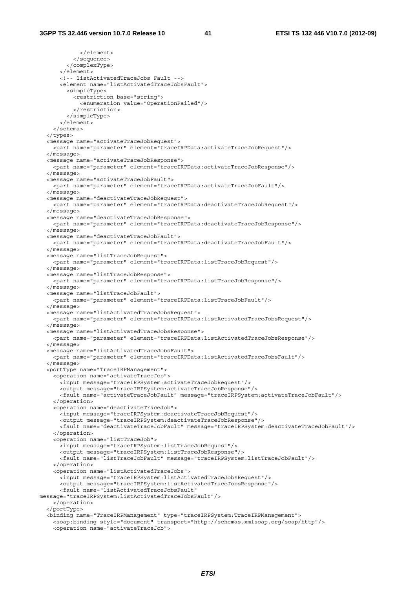</element> </sequence> </complexType> </element> <!-- listActivatedTraceJobs Fault --> <element name="listActivatedTraceJobsFault"> <simpleType> <restriction base="string"> <enumeration value="OperationFailed"/> </restriction> </simpleType> </element> </schema> </types> <message name="activateTraceJobRequest"> <part name="parameter" element="traceIRPData:activateTraceJobRequest"/> </message> <message name="activateTraceJobResponse"> <part name="parameter" element="traceIRPData:activateTraceJobResponse"/> </message> <message name="activateTraceJobFault"> <part name="parameter" element="traceIRPData:activateTraceJobFault"/> </message> <message name="deactivateTraceJobRequest"> <part name="parameter" element="traceIRPData:deactivateTraceJobRequest"/> </message> <message name="deactivateTraceJobResponse"> <part name="parameter" element="traceIRPData:deactivateTraceJobResponse"/> </message> <message name="deactivateTraceJobFault"> <part name="parameter" element="traceIRPData:deactivateTraceJobFault"/> </message> <message name="listTraceJobRequest"> <part name="parameter" element="traceIRPData:listTraceJobRequest"/> </message> <message name="listTraceJobResponse"> <part name="parameter" element="traceIRPData:listTraceJobResponse"/> </message> <message name="listTraceJobFault"> <part name="parameter" element="traceIRPData:listTraceJobFault"/> </message> <message name="listActivatedTraceJobsRequest"> <part name="parameter" element="traceIRPData:listActivatedTraceJobsRequest"/> </message> <message name="listActivatedTraceJobsResponse"> <part name="parameter" element="traceIRPData:listActivatedTraceJobsResponse"/> </message> <message name="listActivatedTraceJobsFault"> <part name="parameter" element="traceIRPData:listActivatedTraceJobsFault"/> </message> <portType name="TraceIRPManagement"> <operation name="activateTraceJob"> <input message="traceIRPSystem:activateTraceJobRequest"/> <output message="traceIRPSystem:activateTraceJobResponse"/> <fault name="activateTraceJobFault" message="traceIRPSystem:activateTraceJobFault"/> </operation> <operation name="deactivateTraceJob"> <input message="traceIRPSystem:deactivateTraceJobRequest"/> <output message="traceIRPSystem:deactivateTraceJobResponse"/> <fault name="deactivateTraceJobFault" message="traceIRPSystem:deactivateTraceJobFault"/> </operation> <operation name="listTraceJob"> <input message="traceIRPSystem:listTraceJobRequest"/> <output message="traceIRPSystem:listTraceJobResponse"/> <fault name="listTraceJobFault" message="traceIRPSystem:listTraceJobFault"/> </operation> <operation name="listActivatedTraceJobs"> <input message="traceIRPSystem:listActivatedTraceJobsRequest"/> <output message="traceIRPSystem:listActivatedTraceJobsResponse"/> <fault name="listActivatedTraceJobsFault" message="traceIRPSystem:listActivatedTraceJobsFault"/> </operation> </portType> <binding name="TraceIRPManagement" type="traceIRPSystem:TraceIRPManagement"> <soap:binding style="document" transport="http://schemas.xmlsoap.org/soap/http"/> <operation name="activateTraceJob">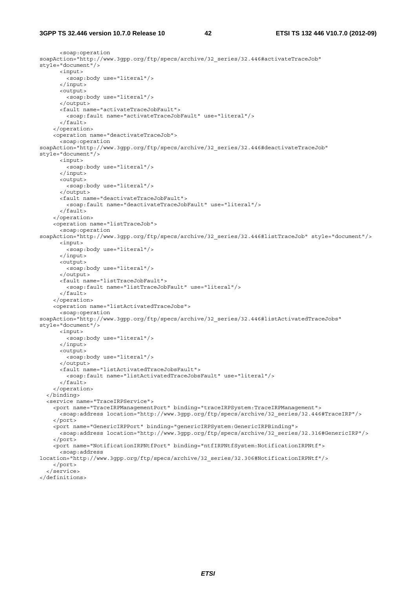```
 <soap:operation 
soapAction="http://www.3qpp.org/ftp/specs/archive/32_series/32.446#activateTraceJob"
style="document"/> 
       <input> 
         <soap:body use="literal"/> 
       </input> 
       <output> 
         <soap:body use="literal"/> 
       </output> 
       <fault name="activateTraceJobFault"> 
         <soap:fault name="activateTraceJobFault" use="literal"/> 
      \epsilon/fault>
     </operation> 
     <operation name="deactivateTraceJob"> 
       <soap:operation 
soapAction="http://www.3gpp.org/ftp/specs/archive/32_series/32.446#deactivateTraceJob" 
style="document"/> 
       <input> 
         <soap:body use="literal"/> 
       </input> 
       <output> 
         <soap:body use="literal"/> 
       </output> 
       <fault name="deactivateTraceJobFault"> 
         <soap:fault name="deactivateTraceJobFault" use="literal"/> 
      \epsilon/faults
     </operation> 
     <operation name="listTraceJob"> 
      -<br><soap:operation
soapAction="http://www.3gpp.org/ftp/specs/archive/32_series/32.446#listTraceJob" style="document"/> 
       <input> 
         <soap:body use="literal"/> 
       </input> 
       <output> 
         <soap:body use="literal"/> 
       </output> 
       <fault name="listTraceJobFault"> 
         <soap:fault name="listTraceJobFault" use="literal"/> 
       </fault> 
     </operation> 
     <operation name="listActivatedTraceJobs"> 
      -<br><soap:operation
soapAction="http://www.3gpp.org/ftp/specs/archive/32_series/32.446#listActivatedTraceJobs" 
style="document"/> 
       <input> 
         <soap:body use="literal"/> 
       </input> 
       <output> 
         <soap:body use="literal"/> 
       </output> 
       <fault name="listActivatedTraceJobsFault"> 
         <soap:fault name="listActivatedTraceJobsFault" use="literal"/> 
      \epsilon/fault>
     </operation> 
   </binding> 
   <service name="TraceIRPService"> 
     <port name="TraceIRPManagementPort" binding="traceIRPSystem:TraceIRPManagement"> 
       <soap:address location="http://www.3gpp.org/ftp/specs/archive/32_series/32.446#TraceIRP"/> 
     </port> 
     <port name="GenericIRPPort" binding="genericIRPSystem:GenericIRPBinding"> 
       <soap:address location="http://www.3gpp.org/ftp/specs/archive/32_series/32.316#GenericIRP"/> 
     </port> 
     <port name="NotificationIRPNtfPort" binding="ntfIRPNtfSystem:NotificationIRPNtf"> 
       <soap:address 
location="http://www.3gpp.org/ftp/specs/archive/32_series/32.306#NotificationIRPNtf"/> 
     </port> 
   </service> 
</definitions>
```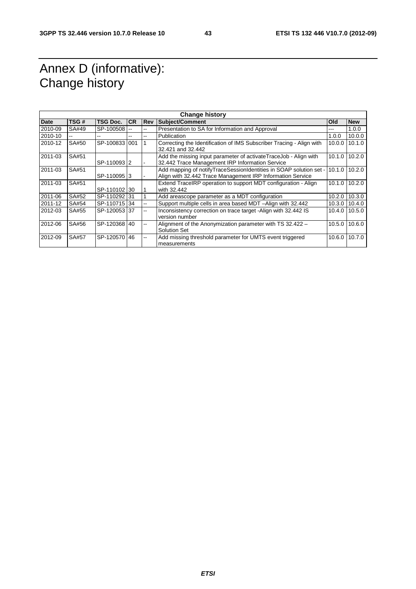# Annex D (informative): Change history

| <b>Change history</b> |       |                 |           |                          |                                                                                                                                     |         |               |
|-----------------------|-------|-----------------|-----------|--------------------------|-------------------------------------------------------------------------------------------------------------------------------------|---------|---------------|
| <b>Date</b>           | TSG#  | <b>TSG Doc.</b> | <b>CR</b> | <b>Rev</b>               | Subject/Comment                                                                                                                     | Old     | <b>New</b>    |
| 2010-09               | SA#49 | SP-100508       |           | $\overline{a}$           | Presentation to SA for Information and Approval                                                                                     |         | 1.0.0         |
| 2010-10               |       |                 | $-$       | --                       | Publication                                                                                                                         | 1.0.0   | 10.0.0        |
| 2010-12               | SA#50 | SP-1008331001   |           | $\mathbf{1}$             | Correcting the Identification of IMS Subscriber Tracing - Align with<br>32.421 and 32.442                                           | 10.0.01 | 10.1.0        |
| 2011-03               | SA#51 | SP-11009312     |           |                          | Add the missing input parameter of activateTraceJob - Align with<br>32.442 Trace Management IRP Information Service                 | 10.1.0  | 10.2.0        |
| 2011-03               | SA#51 | SP-11009513     |           |                          | Add mapping of notify Trace Session Identities in SOAP solution set -<br>Align with 32.442 Trace Management IRP Information Service | 10.1.0  | 10.2.0        |
| 2011-03               | SA#51 | SP-110102130    |           | 1                        | Extend TraceIRP operation to support MDT configuration - Align<br>with 32.442                                                       |         | 10.1.0 10.2.0 |
| 2011-06               | SA#52 | SP-110292131    |           |                          | Add areascope parameter as a MDT configuration                                                                                      | 10.2.0  | 10.3.0        |
| 2011-12               | SA#54 | SP-110715 34    |           | Щ,                       | Support multiple cells in area based MDT -Align with 32.442                                                                         |         | 10.3.0 10.4.0 |
| 2012-03               | SA#55 | SP-120053137    |           | ۵.                       | Inconsistency correction on trace target -Align with 32.442 IS<br>version number                                                    |         | 10.4.0 10.5.0 |
| 2012-06               | SA#56 | SP-120368 40    |           | Щ,                       | Alignment of the Anonymization parameter with TS 32.422 -<br>Solution Set                                                           | 10.5.0  | 10.6.0        |
| 2012-09               | SA#57 | SP-120570 46    |           | $\overline{\phantom{a}}$ | Add missing threshold parameter for UMTS event triggered<br>measurements                                                            | 10.6.0  | 10.7.0        |